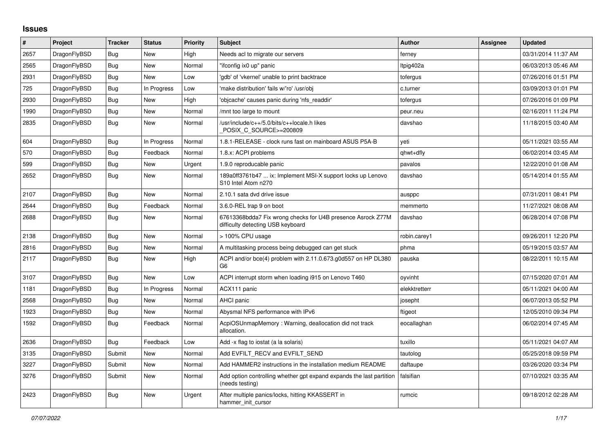## **Issues**

| $\pmb{\#}$ | <b>Project</b> | <b>Tracker</b> | <b>Status</b> | <b>Priority</b> | <b>Subject</b>                                                                                   | <b>Author</b> | <b>Assignee</b> | <b>Updated</b>      |
|------------|----------------|----------------|---------------|-----------------|--------------------------------------------------------------------------------------------------|---------------|-----------------|---------------------|
| 2657       | DragonFlyBSD   | Bug            | <b>New</b>    | High            | Needs acl to migrate our servers                                                                 | ferney        |                 | 03/31/2014 11:37 AM |
| 2565       | DragonFlyBSD   | <b>Bug</b>     | <b>New</b>    | Normal          | "ifconfig ix0 up" panic                                                                          | Itpig402a     |                 | 06/03/2013 05:46 AM |
| 2931       | DragonFlyBSD   | Bug            | New           | Low             | 'gdb' of 'vkernel' unable to print backtrace                                                     | tofergus      |                 | 07/26/2016 01:51 PM |
| 725        | DragonFlyBSD   | Bug            | In Progress   | Low             | 'make distribution' fails w/'ro' /usr/obj                                                        | c.turner      |                 | 03/09/2013 01:01 PM |
| 2930       | DragonFlyBSD   | Bug            | <b>New</b>    | High            | 'objcache' causes panic during 'nfs readdir'                                                     | tofergus      |                 | 07/26/2016 01:09 PM |
| 1990       | DragonFlyBSD   | Bug            | <b>New</b>    | Normal          | mnt too large to mount                                                                           | peur.neu      |                 | 02/16/2011 11:24 PM |
| 2835       | DragonFlyBSD   | <b>Bug</b>     | New           | Normal          | /usr/include/c++/5.0/bits/c++locale.h likes<br>POSIX C SOURCE>=200809                            | davshao       |                 | 11/18/2015 03:40 AM |
| 604        | DragonFlyBSD   | <b>Bug</b>     | In Progress   | Normal          | 1.8.1-RELEASE - clock runs fast on mainboard ASUS P5A-B                                          | veti          |                 | 05/11/2021 03:55 AM |
| 570        | DragonFlyBSD   | <b>Bug</b>     | Feedback      | Normal          | 1.8.x: ACPI problems                                                                             | qhwt+dfly     |                 | 06/02/2014 03:45 AM |
| 599        | DragonFlyBSD   | Bug            | <b>New</b>    | Urgent          | 1.9.0 reproducable panic                                                                         | pavalos       |                 | 12/22/2010 01:08 AM |
| 2652       | DragonFlyBSD   | Bug            | <b>New</b>    | Normal          | 189a0ff3761b47  ix: Implement MSI-X support locks up Lenovo<br>S10 Intel Atom n270               | davshao       |                 | 05/14/2014 01:55 AM |
| 2107       | DragonFlyBSD   | Bug            | <b>New</b>    | Normal          | 2.10.1 sata dvd drive issue                                                                      | ausppc        |                 | 07/31/2011 08:41 PM |
| 2644       | DragonFlyBSD   | Bug            | Feedback      | Normal          | 3.6.0-REL trap 9 on boot                                                                         | memmerto      |                 | 11/27/2021 08:08 AM |
| 2688       | DragonFlyBSD   | <b>Bug</b>     | <b>New</b>    | Normal          | 67613368bdda7 Fix wrong checks for U4B presence Asrock Z77M<br>difficulty detecting USB keyboard | davshao       |                 | 06/28/2014 07:08 PM |
| 2138       | DragonFlyBSD   | <b>Bug</b>     | <b>New</b>    | Normal          | > 100% CPU usage                                                                                 | robin.carey1  |                 | 09/26/2011 12:20 PM |
| 2816       | DragonFlyBSD   | Bug            | <b>New</b>    | Normal          | A multitasking process being debugged can get stuck                                              | phma          |                 | 05/19/2015 03:57 AM |
| 2117       | DragonFlyBSD   | Bug            | New           | High            | ACPI and/or bce(4) problem with 2.11.0.673.g0d557 on HP DL380<br>G <sub>6</sub>                  | pauska        |                 | 08/22/2011 10:15 AM |
| 3107       | DragonFlyBSD   | <b>Bug</b>     | New           | Low             | ACPI interrupt storm when loading i915 on Lenovo T460                                            | oyvinht       |                 | 07/15/2020 07:01 AM |
| 1181       | DragonFlyBSD   | <b>Bug</b>     | In Progress   | Normal          | ACX111 panic                                                                                     | elekktretterr |                 | 05/11/2021 04:00 AM |
| 2568       | DragonFlyBSD   | Bug            | <b>New</b>    | Normal          | AHCI panic                                                                                       | josepht       |                 | 06/07/2013 05:52 PM |
| 1923       | DragonFlyBSD   | Bug            | <b>New</b>    | Normal          | Abysmal NFS performance with IPv6                                                                | ftigeot       |                 | 12/05/2010 09:34 PM |
| 1592       | DragonFlyBSD   | <b>Bug</b>     | Feedback      | Normal          | AcpiOSUnmapMemory: Warning, deallocation did not track<br>allocation.                            | eocallaghan   |                 | 06/02/2014 07:45 AM |
| 2636       | DragonFlyBSD   | Bug            | Feedback      | Low             | Add -x flag to iostat (a la solaris)                                                             | tuxillo       |                 | 05/11/2021 04:07 AM |
| 3135       | DragonFlyBSD   | Submit         | <b>New</b>    | Normal          | Add EVFILT RECV and EVFILT SEND                                                                  | tautolog      |                 | 05/25/2018 09:59 PM |
| 3227       | DragonFlyBSD   | Submit         | <b>New</b>    | Normal          | Add HAMMER2 instructions in the installation medium README                                       | daftaupe      |                 | 03/26/2020 03:34 PM |
| 3276       | DragonFlyBSD   | Submit         | <b>New</b>    | Normal          | Add option controlling whether gpt expand expands the last partition<br>(needs testing)          | falsifian     |                 | 07/10/2021 03:35 AM |
| 2423       | DragonFlyBSD   | Bug            | New           | Urgent          | After multiple panics/locks, hitting KKASSERT in<br>hammer init cursor                           | rumcic        |                 | 09/18/2012 02:28 AM |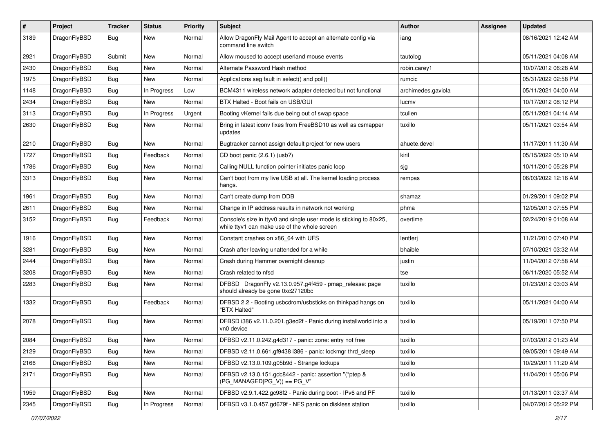| #    | Project      | <b>Tracker</b> | <b>Status</b> | <b>Priority</b> | Subject                                                                                                            | <b>Author</b>      | Assignee | <b>Updated</b>      |
|------|--------------|----------------|---------------|-----------------|--------------------------------------------------------------------------------------------------------------------|--------------------|----------|---------------------|
| 3189 | DragonFlyBSD | Bug            | New           | Normal          | Allow DragonFly Mail Agent to accept an alternate config via<br>command line switch                                | iang               |          | 08/16/2021 12:42 AM |
| 2921 | DragonFlyBSD | Submit         | New           | Normal          | Allow moused to accept userland mouse events                                                                       | tautolog           |          | 05/11/2021 04:08 AM |
| 2430 | DragonFlyBSD | Bug            | New           | Normal          | Alternate Password Hash method                                                                                     | robin.carey1       |          | 10/07/2012 06:28 AM |
| 1975 | DragonFlyBSD | Bug            | <b>New</b>    | Normal          | Applications seg fault in select() and poll()                                                                      | rumcic             |          | 05/31/2022 02:58 PM |
| 1148 | DragonFlyBSD | Bug            | In Progress   | Low             | BCM4311 wireless network adapter detected but not functional                                                       | archimedes.gaviola |          | 05/11/2021 04:00 AM |
| 2434 | DragonFlyBSD | Bug            | New           | Normal          | BTX Halted - Boot fails on USB/GUI                                                                                 | lucmv              |          | 10/17/2012 08:12 PM |
| 3113 | DragonFlyBSD | Bug            | In Progress   | Urgent          | Booting vKernel fails due being out of swap space                                                                  | tcullen            |          | 05/11/2021 04:14 AM |
| 2630 | DragonFlyBSD | Bug            | New           | Normal          | Bring in latest iconv fixes from FreeBSD10 as well as csmapper<br>updates                                          | tuxillo            |          | 05/11/2021 03:54 AM |
| 2210 | DragonFlyBSD | Bug            | <b>New</b>    | Normal          | Bugtracker cannot assign default project for new users                                                             | ahuete.devel       |          | 11/17/2011 11:30 AM |
| 1727 | DragonFlyBSD | Bug            | Feedback      | Normal          | CD boot panic (2.6.1) (usb?)                                                                                       | kiril              |          | 05/15/2022 05:10 AM |
| 1786 | DragonFlyBSD | Bug            | New           | Normal          | Calling NULL function pointer initiates panic loop                                                                 | sjg                |          | 10/11/2010 05:28 PM |
| 3313 | DragonFlyBSD | Bug            | New           | Normal          | Can't boot from my live USB at all. The kernel loading process<br>hangs.                                           | rempas             |          | 06/03/2022 12:16 AM |
| 1961 | DragonFlyBSD | Bug            | New           | Normal          | Can't create dump from DDB                                                                                         | shamaz             |          | 01/29/2011 09:02 PM |
| 2611 | DragonFlyBSD | Bug            | New           | Normal          | Change in IP address results in network not working                                                                | phma               |          | 12/05/2013 07:55 PM |
| 3152 | DragonFlyBSD | Bug            | Feedback      | Normal          | Console's size in ttyv0 and single user mode is sticking to 80x25,<br>while ttyv1 can make use of the whole screen | overtime           |          | 02/24/2019 01:08 AM |
| 1916 | DragonFlyBSD | Bug            | New           | Normal          | Constant crashes on x86_64 with UFS                                                                                | lentferj           |          | 11/21/2010 07:40 PM |
| 3281 | DragonFlyBSD | Bug            | New           | Normal          | Crash after leaving unattended for a while                                                                         | bhaible            |          | 07/10/2021 03:32 AM |
| 2444 | DragonFlyBSD | Bug            | New           | Normal          | Crash during Hammer overnight cleanup                                                                              | justin             |          | 11/04/2012 07:58 AM |
| 3208 | DragonFlyBSD | Bug            | <b>New</b>    | Normal          | Crash related to nfsd                                                                                              | tse                |          | 06/11/2020 05:52 AM |
| 2283 | DragonFlyBSD | Bug            | <b>New</b>    | Normal          | DFBSD DragonFly v2.13.0.957.g4f459 - pmap_release: page<br>should already be gone 0xc27120bc                       | tuxillo            |          | 01/23/2012 03:03 AM |
| 1332 | DragonFlyBSD | <b>Bug</b>     | Feedback      | Normal          | DFBSD 2.2 - Booting usbcdrom/usbsticks on thinkpad hangs on<br>"BTX Halted"                                        | tuxillo            |          | 05/11/2021 04:00 AM |
| 2078 | DragonFlyBSD | Bug            | New           | Normal          | DFBSD i386 v2.11.0.201.g3ed2f - Panic during installworld into a<br>vn0 device                                     | tuxillo            |          | 05/19/2011 07:50 PM |
| 2084 | DragonFlyBSD | Bug            | New           | Normal          | DFBSD v2.11.0.242.g4d317 - panic: zone: entry not free                                                             | tuxillo            |          | 07/03/2012 01:23 AM |
| 2129 | DragonFlyBSD | <b>Bug</b>     | New           | Normal          | DFBSD v2.11.0.661.gf9438 i386 - panic: lockmgr thrd_sleep                                                          | tuxillo            |          | 09/05/2011 09:49 AM |
| 2166 | DragonFlyBSD | Bug            | <b>New</b>    | Normal          | DFBSD v2.13.0.109.g05b9d - Strange lockups                                                                         | tuxillo            |          | 10/29/2011 11:20 AM |
| 2171 | DragonFlyBSD | Bug            | New           | Normal          | DFBSD v2.13.0.151.gdc8442 - panic: assertion "(*ptep &<br>$(PG_MANAGED PG_V)$ == PG_V"                             | tuxillo            |          | 11/04/2011 05:06 PM |
| 1959 | DragonFlyBSD | Bug            | <b>New</b>    | Normal          | DFBSD v2.9.1.422.gc98f2 - Panic during boot - IPv6 and PF                                                          | tuxillo            |          | 01/13/2011 03:37 AM |
| 2345 | DragonFlyBSD | <b>Bug</b>     | In Progress   | Normal          | DFBSD v3.1.0.457.gd679f - NFS panic on diskless station                                                            | tuxillo            |          | 04/07/2012 05:22 PM |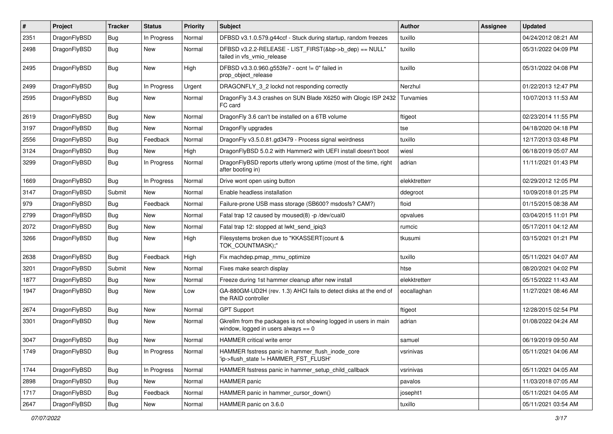| #    | Project      | <b>Tracker</b> | <b>Status</b> | <b>Priority</b> | <b>Subject</b>                                                                                            | Author        | Assignee | <b>Updated</b>      |
|------|--------------|----------------|---------------|-----------------|-----------------------------------------------------------------------------------------------------------|---------------|----------|---------------------|
| 2351 | DragonFlyBSD | Bug            | In Progress   | Normal          | DFBSD v3.1.0.579.g44ccf - Stuck during startup, random freezes                                            | tuxillo       |          | 04/24/2012 08:21 AM |
| 2498 | DragonFlyBSD | <b>Bug</b>     | New           | Normal          | DFBSD v3.2.2-RELEASE - LIST_FIRST(&bp->b_dep) == NULL"<br>failed in vfs vmio release                      | tuxillo       |          | 05/31/2022 04:09 PM |
| 2495 | DragonFlyBSD | Bug            | <b>New</b>    | High            | DFBSD v3.3.0.960.g553fe7 - ocnt != 0" failed in<br>prop object release                                    | tuxillo       |          | 05/31/2022 04:08 PM |
| 2499 | DragonFlyBSD | Bug            | In Progress   | Urgent          | DRAGONFLY_3_2 lockd not responding correctly                                                              | Nerzhul       |          | 01/22/2013 12:47 PM |
| 2595 | DragonFlyBSD | Bug            | New           | Normal          | DragonFly 3.4.3 crashes on SUN Blade X6250 with Qlogic ISP 2432 Turvamies<br>FC card                      |               |          | 10/07/2013 11:53 AM |
| 2619 | DragonFlyBSD | Bug            | <b>New</b>    | Normal          | DragonFly 3.6 can't be installed on a 6TB volume                                                          | ftigeot       |          | 02/23/2014 11:55 PM |
| 3197 | DragonFlyBSD | Bug            | <b>New</b>    | Normal          | DragonFly upgrades                                                                                        | tse           |          | 04/18/2020 04:18 PM |
| 2556 | DragonFlyBSD | <b>Bug</b>     | Feedback      | Normal          | DragonFly v3.5.0.81.gd3479 - Process signal weirdness                                                     | tuxillo       |          | 12/17/2013 03:48 PM |
| 3124 | DragonFlyBSD | <b>Bug</b>     | New           | High            | DragonFlyBSD 5.0.2 with Hammer2 with UEFI install doesn't boot                                            | wiesl         |          | 06/18/2019 05:07 AM |
| 3299 | DragonFlyBSD | Bug            | In Progress   | Normal          | DragonFlyBSD reports utterly wrong uptime (most of the time, right<br>after booting in)                   | adrian        |          | 11/11/2021 01:43 PM |
| 1669 | DragonFlyBSD | Bug            | In Progress   | Normal          | Drive wont open using button                                                                              | elekktretterr |          | 02/29/2012 12:05 PM |
| 3147 | DragonFlyBSD | Submit         | New           | Normal          | Enable headless installation                                                                              | ddegroot      |          | 10/09/2018 01:25 PM |
| 979  | DragonFlyBSD | Bug            | Feedback      | Normal          | Failure-prone USB mass storage (SB600? msdosfs? CAM?)                                                     | floid         |          | 01/15/2015 08:38 AM |
| 2799 | DragonFlyBSD | Bug            | <b>New</b>    | Normal          | Fatal trap 12 caused by moused(8) -p /dev/cual0                                                           | opvalues      |          | 03/04/2015 11:01 PM |
| 2072 | DragonFlyBSD | <b>Bug</b>     | <b>New</b>    | Normal          | Fatal trap 12: stopped at lwkt_send_ipiq3                                                                 | rumcic        |          | 05/17/2011 04:12 AM |
| 3266 | DragonFlyBSD | <b>Bug</b>     | New           | High            | Filesystems broken due to "KKASSERT(count &<br>TOK_COUNTMASK);"                                           | tkusumi       |          | 03/15/2021 01:21 PM |
| 2638 | DragonFlyBSD | Bug            | Feedback      | High            | Fix machdep.pmap_mmu_optimize                                                                             | tuxillo       |          | 05/11/2021 04:07 AM |
| 3201 | DragonFlyBSD | Submit         | <b>New</b>    | Normal          | Fixes make search display                                                                                 | htse          |          | 08/20/2021 04:02 PM |
| 1877 | DragonFlyBSD | Bug            | New           | Normal          | Freeze during 1st hammer cleanup after new install                                                        | elekktretterr |          | 05/15/2022 11:43 AM |
| 1947 | DragonFlyBSD | Bug            | New           | Low             | GA-880GM-UD2H (rev. 1.3) AHCI fails to detect disks at the end of<br>the RAID controller                  | eocallaghan   |          | 11/27/2021 08:46 AM |
| 2674 | DragonFlyBSD | Bug            | <b>New</b>    | Normal          | <b>GPT Support</b>                                                                                        | ftigeot       |          | 12/28/2015 02:54 PM |
| 3301 | DragonFlyBSD | <b>Bug</b>     | New           | Normal          | Gkrellm from the packages is not showing logged in users in main<br>window, logged in users always $== 0$ | adrian        |          | 01/08/2022 04:24 AM |
| 3047 | DragonFlyBSD | Bug            | <b>New</b>    | Normal          | HAMMER critical write error                                                                               | samuel        |          | 06/19/2019 09:50 AM |
| 1749 | DragonFlyBSD | Bug            | In Progress   | Normal          | HAMMER fsstress panic in hammer_flush_inode_core<br>'ip->flush_state != HAMMER_FST_FLUSH'                 | vsrinivas     |          | 05/11/2021 04:06 AM |
| 1744 | DragonFlyBSD | <b>Bug</b>     | In Progress   | Normal          | HAMMER fsstress panic in hammer_setup_child_callback                                                      | vsrinivas     |          | 05/11/2021 04:05 AM |
| 2898 | DragonFlyBSD | Bug            | New           | Normal          | HAMMER panic                                                                                              | pavalos       |          | 11/03/2018 07:05 AM |
| 1717 | DragonFlyBSD | Bug            | Feedback      | Normal          | HAMMER panic in hammer_cursor_down()                                                                      | josepht1      |          | 05/11/2021 04:05 AM |
| 2647 | DragonFlyBSD | Bug            | New           | Normal          | HAMMER panic on 3.6.0                                                                                     | tuxillo       |          | 05/11/2021 03:54 AM |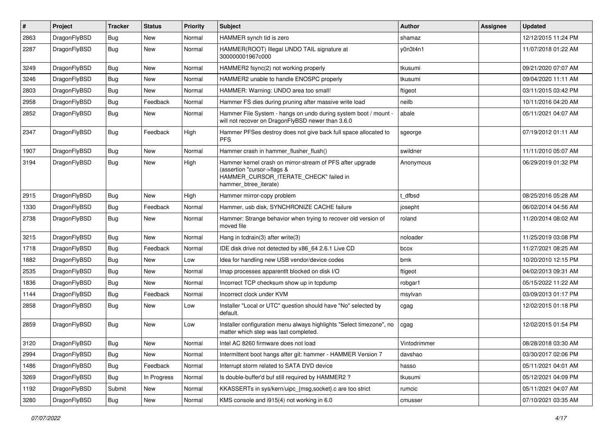| $\pmb{\#}$ | Project      | <b>Tracker</b> | <b>Status</b> | <b>Priority</b> | Subject                                                                                                                                                     | Author       | Assignee | <b>Updated</b>      |
|------------|--------------|----------------|---------------|-----------------|-------------------------------------------------------------------------------------------------------------------------------------------------------------|--------------|----------|---------------------|
| 2863       | DragonFlyBSD | Bug            | <b>New</b>    | Normal          | HAMMER synch tid is zero                                                                                                                                    | shamaz       |          | 12/12/2015 11:24 PM |
| 2287       | DragonFlyBSD | <b>Bug</b>     | New           | Normal          | HAMMER(ROOT) Illegal UNDO TAIL signature at<br>300000001967c000                                                                                             | y0n3t4n1     |          | 11/07/2018 01:22 AM |
| 3249       | DragonFlyBSD | Bug            | <b>New</b>    | Normal          | HAMMER2 fsync(2) not working properly                                                                                                                       | tkusumi      |          | 09/21/2020 07:07 AM |
| 3246       | DragonFlyBSD | Bug            | <b>New</b>    | Normal          | HAMMER2 unable to handle ENOSPC properly                                                                                                                    | tkusumi      |          | 09/04/2020 11:11 AM |
| 2803       | DragonFlyBSD | <b>Bug</b>     | New           | Normal          | HAMMER: Warning: UNDO area too small!                                                                                                                       | ftigeot      |          | 03/11/2015 03:42 PM |
| 2958       | DragonFlyBSD | <b>Bug</b>     | Feedback      | Normal          | Hammer FS dies during pruning after massive write load                                                                                                      | neilb        |          | 10/11/2016 04:20 AM |
| 2852       | DragonFlyBSD | Bug            | New           | Normal          | Hammer File System - hangs on undo during system boot / mount -<br>will not recover on DragonFlyBSD newer than 3.6.0                                        | abale        |          | 05/11/2021 04:07 AM |
| 2347       | DragonFlyBSD | <b>Bug</b>     | Feedback      | High            | Hammer PFSes destroy does not give back full space allocated to<br>PFS.                                                                                     | sgeorge      |          | 07/19/2012 01:11 AM |
| 1907       | DragonFlyBSD | Bug            | <b>New</b>    | Normal          | Hammer crash in hammer_flusher_flush()                                                                                                                      | swildner     |          | 11/11/2010 05:07 AM |
| 3194       | DragonFlyBSD | Bug            | New           | High            | Hammer kernel crash on mirror-stream of PFS after upgrade<br>(assertion "cursor->flags &<br>HAMMER_CURSOR_ITERATE_CHECK" failed in<br>hammer_btree_iterate) | Anonymous    |          | 06/29/2019 01:32 PM |
| 2915       | DragonFlyBSD | <b>Bug</b>     | New           | High            | Hammer mirror-copy problem                                                                                                                                  | t dfbsd      |          | 08/25/2016 05:28 AM |
| 1330       | DragonFlyBSD | Bug            | Feedback      | Normal          | Hammer, usb disk, SYNCHRONIZE CACHE failure                                                                                                                 | josepht      |          | 06/02/2014 04:56 AM |
| 2738       | DragonFlyBSD | Bug            | New           | Normal          | Hammer: Strange behavior when trying to recover old version of<br>moved file                                                                                | roland       |          | 11/20/2014 08:02 AM |
| 3215       | DragonFlyBSD | <b>Bug</b>     | New           | Normal          | Hang in tcdrain(3) after write(3)                                                                                                                           | noloader     |          | 11/25/2019 03:08 PM |
| 1718       | DragonFlyBSD | <b>Bug</b>     | Feedback      | Normal          | IDE disk drive not detected by x86_64 2.6.1 Live CD                                                                                                         | bcox         |          | 11/27/2021 08:25 AM |
| 1882       | DragonFlyBSD | Bug            | New           | Low             | Idea for handling new USB vendor/device codes                                                                                                               | bmk          |          | 10/20/2010 12:15 PM |
| 2535       | DragonFlyBSD | Bug            | New           | Normal          | Imap processes apparentlt blocked on disk I/O                                                                                                               | ftigeot      |          | 04/02/2013 09:31 AM |
| 1836       | DragonFlyBSD | <b>Bug</b>     | New           | Normal          | Incorrect TCP checksum show up in tcpdump                                                                                                                   | robgar1      |          | 05/15/2022 11:22 AM |
| 1144       | DragonFlyBSD | <b>Bug</b>     | Feedback      | Normal          | Incorrect clock under KVM                                                                                                                                   | msylvan      |          | 03/09/2013 01:17 PM |
| 2858       | DragonFlyBSD | Bug            | New           | Low             | Installer "Local or UTC" question should have "No" selected by<br>default.                                                                                  | cgag         |          | 12/02/2015 01:18 PM |
| 2859       | DragonFlyBSD | Bug            | New           | Low             | Installer configuration menu always highlights "Select timezone", no<br>matter which step was last completed.                                               | cgag         |          | 12/02/2015 01:54 PM |
| 3120       | DragonFlyBSD | Bug            | <b>New</b>    | Normal          | Intel AC 8260 firmware does not load                                                                                                                        | Vintodrimmer |          | 08/28/2018 03:30 AM |
| 2994       | DragonFlyBSD | <b>Bug</b>     | New           | Normal          | Intermittent boot hangs after git: hammer - HAMMER Version 7                                                                                                | davshao      |          | 03/30/2017 02:06 PM |
| 1486       | DragonFlyBSD | <b>Bug</b>     | Feedback      | Normal          | Interrupt storm related to SATA DVD device                                                                                                                  | hasso        |          | 05/11/2021 04:01 AM |
| 3269       | DragonFlyBSD | Bug            | In Progress   | Normal          | Is double-buffer'd buf still required by HAMMER2?                                                                                                           | tkusumi      |          | 05/12/2021 04:09 PM |
| 1192       | DragonFlyBSD | Submit         | New           | Normal          | KKASSERTs in sys/kern/uipc_{msg,socket}.c are too strict                                                                                                    | rumcic       |          | 05/11/2021 04:07 AM |
| 3280       | DragonFlyBSD | <b>Bug</b>     | New           | Normal          | KMS console and i915(4) not working in 6.0                                                                                                                  | cmusser      |          | 07/10/2021 03:35 AM |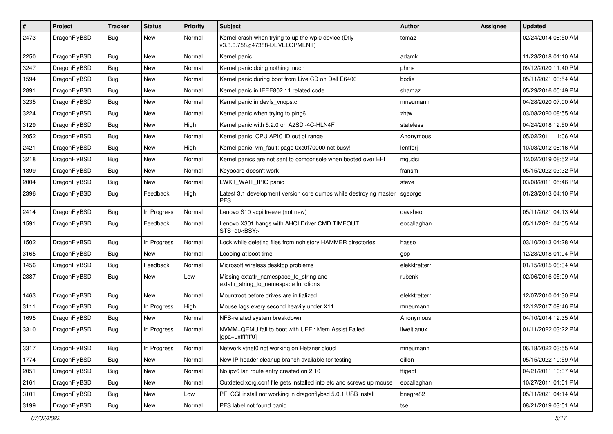| $\sharp$ | Project      | <b>Tracker</b> | <b>Status</b> | <b>Priority</b> | Subject                                                                                | <b>Author</b> | Assignee | <b>Updated</b>      |
|----------|--------------|----------------|---------------|-----------------|----------------------------------------------------------------------------------------|---------------|----------|---------------------|
| 2473     | DragonFlyBSD | Bug            | New           | Normal          | Kernel crash when trying to up the wpi0 device (Dfly<br>v3.3.0.758.g47388-DEVELOPMENT) | tomaz         |          | 02/24/2014 08:50 AM |
| 2250     | DragonFlyBSD | Bug            | New           | Normal          | Kernel panic                                                                           | adamk         |          | 11/23/2018 01:10 AM |
| 3247     | DragonFlyBSD | Bug            | New           | Normal          | Kernel panic doing nothing much                                                        | phma          |          | 09/12/2020 11:40 PM |
| 1594     | DragonFlyBSD | Bug            | New           | Normal          | Kernel panic during boot from Live CD on Dell E6400                                    | bodie         |          | 05/11/2021 03:54 AM |
| 2891     | DragonFlyBSD | Bug            | New           | Normal          | Kernel panic in IEEE802.11 related code                                                | shamaz        |          | 05/29/2016 05:49 PM |
| 3235     | DragonFlyBSD | Bug            | New           | Normal          | Kernel panic in devfs_vnops.c                                                          | mneumann      |          | 04/28/2020 07:00 AM |
| 3224     | DragonFlyBSD | Bug            | <b>New</b>    | Normal          | Kernel panic when trying to ping6                                                      | zhtw          |          | 03/08/2020 08:55 AM |
| 3129     | DragonFlyBSD | Bug            | New           | High            | Kernel panic with 5.2.0 on A2SDi-4C-HLN4F                                              | stateless     |          | 04/24/2018 12:50 AM |
| 2052     | DragonFlyBSD | Bug            | <b>New</b>    | Normal          | Kernel panic: CPU APIC ID out of range                                                 | Anonymous     |          | 05/02/2011 11:06 AM |
| 2421     | DragonFlyBSD | Bug            | New           | High            | Kernel panic: vm fault: page 0xc0f70000 not busy!                                      | lentferj      |          | 10/03/2012 08:16 AM |
| 3218     | DragonFlyBSD | Bug            | New           | Normal          | Kernel panics are not sent to comconsole when booted over EFI                          | mqudsi        |          | 12/02/2019 08:52 PM |
| 1899     | DragonFlyBSD | Bug            | New           | Normal          | Keyboard doesn't work                                                                  | fransm        |          | 05/15/2022 03:32 PM |
| 2004     | DragonFlyBSD | Bug            | New           | Normal          | LWKT_WAIT_IPIQ panic                                                                   | steve         |          | 03/08/2011 05:46 PM |
| 2396     | DragonFlyBSD | Bug            | Feedback      | High            | Latest 3.1 development version core dumps while destroying master<br><b>PFS</b>        | sgeorge       |          | 01/23/2013 04:10 PM |
| 2414     | DragonFlyBSD | Bug            | In Progress   | Normal          | Lenovo S10 acpi freeze (not new)                                                       | davshao       |          | 05/11/2021 04:13 AM |
| 1591     | DragonFlyBSD | Bug            | Feedback      | Normal          | Lenovo X301 hangs with AHCI Driver CMD TIMEOUT<br>STS=d0 <bsy></bsy>                   | eocallaghan   |          | 05/11/2021 04:05 AM |
| 1502     | DragonFlyBSD | Bug            | In Progress   | Normal          | Lock while deleting files from nohistory HAMMER directories                            | hasso         |          | 03/10/2013 04:28 AM |
| 3165     | DragonFlyBSD | <b>Bug</b>     | New           | Normal          | Looping at boot time                                                                   | gop           |          | 12/28/2018 01:04 PM |
| 1456     | DragonFlyBSD | <b>Bug</b>     | Feedback      | Normal          | Microsoft wireless desktop problems                                                    | elekktretterr |          | 01/15/2015 08:34 AM |
| 2887     | DragonFlyBSD | Bug            | New           | Low             | Missing extattr_namespace_to_string and<br>extattr string to namespace functions       | rubenk        |          | 02/06/2016 05:09 AM |
| 1463     | DragonFlyBSD | Bug            | New           | Normal          | Mountroot before drives are initialized                                                | elekktretterr |          | 12/07/2010 01:30 PM |
| 3111     | DragonFlyBSD | Bug            | In Progress   | High            | Mouse lags every second heavily under X11                                              | mneumann      |          | 12/12/2017 09:46 PM |
| 1695     | DragonFlyBSD | <b>Bug</b>     | New           | Normal          | NFS-related system breakdown                                                           | Anonymous     |          | 04/10/2014 12:35 AM |
| 3310     | DragonFlyBSD | <b>Bug</b>     | In Progress   | Normal          | NVMM+QEMU fail to boot with UEFI: Mem Assist Failed<br>[gpa=0xfffffff0]                | liweitianux   |          | 01/11/2022 03:22 PM |
| 3317     | DragonFlyBSD | <b>Bug</b>     | In Progress   | Normal          | Network vtnet0 not working on Hetzner cloud                                            | mneumann      |          | 06/18/2022 03:55 AM |
| 1774     | DragonFlyBSD | <b>Bug</b>     | New           | Normal          | New IP header cleanup branch available for testing                                     | dillon        |          | 05/15/2022 10:59 AM |
| 2051     | DragonFlyBSD | <b>Bug</b>     | New           | Normal          | No ipv6 lan route entry created on 2.10                                                | ftigeot       |          | 04/21/2011 10:37 AM |
| 2161     | DragonFlyBSD | <b>Bug</b>     | New           | Normal          | Outdated xorg.conf file gets installed into etc and screws up mouse                    | eocallaghan   |          | 10/27/2011 01:51 PM |
| 3101     | DragonFlyBSD | <b>Bug</b>     | <b>New</b>    | Low             | PFI CGI install not working in dragonflybsd 5.0.1 USB install                          | bnegre82      |          | 05/11/2021 04:14 AM |
| 3199     | DragonFlyBSD | <b>Bug</b>     | New           | Normal          | PFS label not found panic                                                              | tse           |          | 08/21/2019 03:51 AM |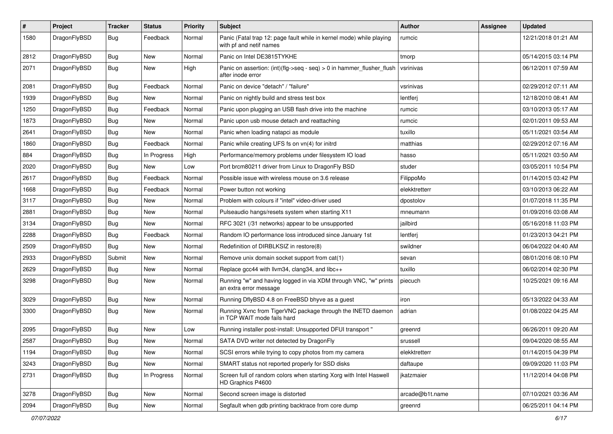| $\pmb{\#}$ | Project      | <b>Tracker</b> | <b>Status</b> | <b>Priority</b> | <b>Subject</b>                                                                                  | Author          | Assignee | <b>Updated</b>      |
|------------|--------------|----------------|---------------|-----------------|-------------------------------------------------------------------------------------------------|-----------------|----------|---------------------|
| 1580       | DragonFlyBSD | Bug            | Feedback      | Normal          | Panic (Fatal trap 12: page fault while in kernel mode) while playing<br>with pf and netif names | rumcic          |          | 12/21/2018 01:21 AM |
| 2812       | DragonFlyBSD | <b>Bug</b>     | <b>New</b>    | Normal          | Panic on Intel DE3815TYKHE                                                                      | tmorp           |          | 05/14/2015 03:14 PM |
| 2071       | DragonFlyBSD | Bug            | New           | High            | Panic on assertion: (int)(flg->seq - seq) > 0 in hammer_flusher_flush<br>after inode error      | vsrinivas       |          | 06/12/2011 07:59 AM |
| 2081       | DragonFlyBSD | <b>Bug</b>     | Feedback      | Normal          | Panic on device "detach" / "failure"                                                            | vsrinivas       |          | 02/29/2012 07:11 AM |
| 1939       | DragonFlyBSD | <b>Bug</b>     | New           | Normal          | Panic on nightly build and stress test box                                                      | lentferj        |          | 12/18/2010 08:41 AM |
| 1250       | DragonFlyBSD | <b>Bug</b>     | Feedback      | Normal          | Panic upon plugging an USB flash drive into the machine                                         | rumcic          |          | 03/10/2013 05:17 AM |
| 1873       | DragonFlyBSD | <b>Bug</b>     | New           | Normal          | Panic upon usb mouse detach and reattaching                                                     | rumcic          |          | 02/01/2011 09:53 AM |
| 2641       | DragonFlyBSD | Bug            | New           | Normal          | Panic when loading natapci as module                                                            | tuxillo         |          | 05/11/2021 03:54 AM |
| 1860       | DragonFlyBSD | <b>Bug</b>     | Feedback      | Normal          | Panic while creating UFS fs on vn(4) for initrd                                                 | matthias        |          | 02/29/2012 07:16 AM |
| 884        | DragonFlyBSD | Bug            | In Progress   | High            | Performance/memory problems under filesystem IO load                                            | hasso           |          | 05/11/2021 03:50 AM |
| 2020       | DragonFlyBSD | <b>Bug</b>     | New           | Low             | Port brcm80211 driver from Linux to DragonFly BSD                                               | studer          |          | 03/05/2011 10:54 PM |
| 2617       | DragonFlyBSD | <b>Bug</b>     | Feedback      | Normal          | Possible issue with wireless mouse on 3.6 release                                               | FilippoMo       |          | 01/14/2015 03:42 PM |
| 1668       | DragonFlyBSD | Bug            | Feedback      | Normal          | Power button not working                                                                        | elekktretterr   |          | 03/10/2013 06:22 AM |
| 3117       | DragonFlyBSD | <b>Bug</b>     | New           | Normal          | Problem with colours if "intel" video-driver used                                               | dpostolov       |          | 01/07/2018 11:35 PM |
| 2881       | DragonFlyBSD | <b>Bug</b>     | <b>New</b>    | Normal          | Pulseaudio hangs/resets system when starting X11                                                | mneumann        |          | 01/09/2016 03:08 AM |
| 3134       | DragonFlyBSD | Bug            | <b>New</b>    | Normal          | RFC 3021 (/31 networks) appear to be unsupported                                                | jailbird        |          | 05/16/2018 11:03 PM |
| 2288       | DragonFlyBSD | <b>Bug</b>     | Feedback      | Normal          | Random IO performance loss introduced since January 1st                                         | lentferj        |          | 01/23/2013 04:21 PM |
| 2509       | DragonFlyBSD | <b>Bug</b>     | New           | Normal          | Redefinition of DIRBLKSIZ in restore(8)                                                         | swildner        |          | 06/04/2022 04:40 AM |
| 2933       | DragonFlyBSD | Submit         | New           | Normal          | Remove unix domain socket support from cat(1)                                                   | sevan           |          | 08/01/2016 08:10 PM |
| 2629       | DragonFlyBSD | <b>Bug</b>     | New           | Normal          | Replace gcc44 with llvm34, clang34, and libc++                                                  | tuxillo         |          | 06/02/2014 02:30 PM |
| 3298       | DragonFlyBSD | Bug            | New           | Normal          | Running "w" and having logged in via XDM through VNC, "w" prints<br>an extra error message      | piecuch         |          | 10/25/2021 09:16 AM |
| 3029       | DragonFlyBSD | Bug            | <b>New</b>    | Normal          | Running DflyBSD 4.8 on FreeBSD bhyve as a guest                                                 | iron            |          | 05/13/2022 04:33 AM |
| 3300       | DragonFlyBSD | Bug            | <b>New</b>    | Normal          | Running Xvnc from TigerVNC package through the INETD daemon<br>in TCP WAIT mode fails hard      | adrian          |          | 01/08/2022 04:25 AM |
| 2095       | DragonFlyBSD | <b>Bug</b>     | New           | Low             | Running installer post-install: Unsupported DFUI transport "                                    | greenrd         |          | 06/26/2011 09:20 AM |
| 2587       | DragonFlyBSD | <b>Bug</b>     | New           | Normal          | SATA DVD writer not detected by DragonFly                                                       | srussell        |          | 09/04/2020 08:55 AM |
| 1194       | DragonFlyBSD | <b>Bug</b>     | New           | Normal          | SCSI errors while trying to copy photos from my camera                                          | elekktretterr   |          | 01/14/2015 04:39 PM |
| 3243       | DragonFlyBSD | <b>Bug</b>     | New           | Normal          | SMART status not reported properly for SSD disks                                                | daftaupe        |          | 09/09/2020 11:03 PM |
| 2731       | DragonFlyBSD | <b>Bug</b>     | In Progress   | Normal          | Screen full of random colors when starting Xorg with Intel Haswell<br>HD Graphics P4600         | jkatzmaier      |          | 11/12/2014 04:08 PM |
| 3278       | DragonFlyBSD | Bug            | New           | Normal          | Second screen image is distorted                                                                | arcade@b1t.name |          | 07/10/2021 03:36 AM |
| 2094       | DragonFlyBSD | <b>Bug</b>     | New           | Normal          | Segfault when gdb printing backtrace from core dump                                             | greenrd         |          | 06/25/2011 04:14 PM |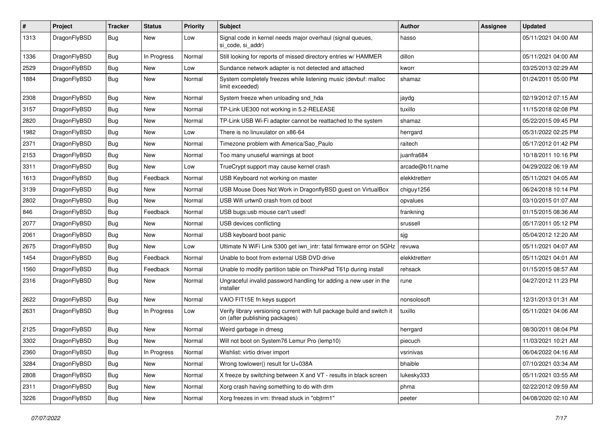| $\sharp$ | Project      | <b>Tracker</b> | <b>Status</b> | <b>Priority</b> | Subject                                                                                                   | <b>Author</b>   | Assignee | <b>Updated</b>      |
|----------|--------------|----------------|---------------|-----------------|-----------------------------------------------------------------------------------------------------------|-----------------|----------|---------------------|
| 1313     | DragonFlyBSD | Bug            | New           | Low             | Signal code in kernel needs major overhaul (signal queues,<br>si code, si addr)                           | hasso           |          | 05/11/2021 04:00 AM |
| 1336     | DragonFlyBSD | <b>Bug</b>     | In Progress   | Normal          | Still looking for reports of missed directory entries w/ HAMMER                                           | dillon          |          | 05/11/2021 04:00 AM |
| 2529     | DragonFlyBSD | <b>Bug</b>     | <b>New</b>    | Low             | Sundance network adapter is not detected and attached                                                     | kworr           |          | 03/25/2013 02:29 AM |
| 1884     | DragonFlyBSD | Bug            | New           | Normal          | System completely freezes while listening music (devbuf: malloc<br>limit exceeded)                        | shamaz          |          | 01/24/2011 05:00 PM |
| 2308     | DragonFlyBSD | Bug            | <b>New</b>    | Normal          | System freeze when unloading snd hda                                                                      | jaydg           |          | 02/19/2012 07:15 AM |
| 3157     | DragonFlyBSD | <b>Bug</b>     | New           | Normal          | TP-Link UE300 not working in 5.2-RELEASE                                                                  | tuxillo         |          | 11/15/2018 02:08 PM |
| 2820     | DragonFlyBSD | <b>Bug</b>     | New           | Normal          | TP-Link USB Wi-Fi adapter cannot be reattached to the system                                              | shamaz          |          | 05/22/2015 09:45 PM |
| 1982     | DragonFlyBSD | Bug            | New           | Low             | There is no linuxulator on x86-64                                                                         | herrgard        |          | 05/31/2022 02:25 PM |
| 2371     | DragonFlyBSD | <b>Bug</b>     | New           | Normal          | Timezone problem with America/Sao Paulo                                                                   | raitech         |          | 05/17/2012 01:42 PM |
| 2153     | DragonFlyBSD | <b>Bug</b>     | <b>New</b>    | Normal          | Too many unuseful warnings at boot                                                                        | juanfra684      |          | 10/18/2011 10:16 PM |
| 3311     | DragonFlyBSD | <b>Bug</b>     | New           | Low             | TrueCrypt support may cause kernel crash                                                                  | arcade@b1t.name |          | 04/29/2022 06:19 AM |
| 1613     | DragonFlyBSD | <b>Bug</b>     | Feedback      | Normal          | USB Keyboard not working on master                                                                        | elekktretterr   |          | 05/11/2021 04:05 AM |
| 3139     | DragonFlyBSD | Bug            | New           | Normal          | USB Mouse Does Not Work in DragonflyBSD guest on VirtualBox                                               | chiguy1256      |          | 06/24/2018 10:14 PM |
| 2802     | DragonFlyBSD | <b>Bug</b>     | New           | Normal          | USB Wifi urtwn0 crash from cd boot                                                                        | opvalues        |          | 03/10/2015 01:07 AM |
| 846      | DragonFlyBSD | <b>Bug</b>     | Feedback      | Normal          | USB bugs:usb mouse can't used!                                                                            | frankning       |          | 01/15/2015 08:36 AM |
| 2077     | DragonFlyBSD | Bug            | <b>New</b>    | Normal          | USB devices conflicting                                                                                   | srussell        |          | 05/17/2011 05:12 PM |
| 2061     | DragonFlyBSD | <b>Bug</b>     | <b>New</b>    | Normal          | USB keyboard boot panic                                                                                   | sjg             |          | 05/04/2012 12:20 AM |
| 2675     | DragonFlyBSD | Bug            | <b>New</b>    | Low             | Ultimate N WiFi Link 5300 get iwn_intr: fatal firmware error on 5GHz                                      | revuwa          |          | 05/11/2021 04:07 AM |
| 1454     | DragonFlyBSD | <b>Bug</b>     | Feedback      | Normal          | Unable to boot from external USB DVD drive                                                                | elekktretterr   |          | 05/11/2021 04:01 AM |
| 1560     | DragonFlyBSD | <b>Bug</b>     | Feedback      | Normal          | Unable to modify partition table on ThinkPad T61p during install                                          | rehsack         |          | 01/15/2015 08:57 AM |
| 2316     | DragonFlyBSD | Bug            | New           | Normal          | Ungraceful invalid password handling for adding a new user in the<br>installer                            | rune            |          | 04/27/2012 11:23 PM |
| 2622     | DragonFlyBSD | Bug            | <b>New</b>    | Normal          | VAIO FIT15E fn keys support                                                                               | nonsolosoft     |          | 12/31/2013 01:31 AM |
| 2631     | DragonFlyBSD | Bug            | In Progress   | Low             | Verify library versioning current with full package build and switch it<br>on (after publishing packages) | tuxillo         |          | 05/11/2021 04:06 AM |
| 2125     | DragonFlyBSD | Bug            | New           | Normal          | Weird garbage in dmesg                                                                                    | herrgard        |          | 08/30/2011 08:04 PM |
| 3302     | DragonFlyBSD | <b>Bug</b>     | <b>New</b>    | Normal          | Will not boot on System76 Lemur Pro (lemp10)                                                              | piecuch         |          | 11/03/2021 10:21 AM |
| 2360     | DragonFlyBSD | <b>Bug</b>     | In Progress   | Normal          | Wishlist: virtio driver import                                                                            | vsrinivas       |          | 06/04/2022 04:16 AM |
| 3284     | DragonFlyBSD | <b>Bug</b>     | <b>New</b>    | Normal          | Wrong towlower() result for U+038A                                                                        | bhaible         |          | 07/10/2021 03:34 AM |
| 2808     | DragonFlyBSD | <b>Bug</b>     | New           | Normal          | X freeze by switching between X and VT - results in black screen                                          | lukesky333      |          | 05/11/2021 03:55 AM |
| 2311     | DragonFlyBSD | <b>Bug</b>     | New           | Normal          | Xorg crash having something to do with drm                                                                | phma            |          | 02/22/2012 09:59 AM |
| 3226     | DragonFlyBSD | <b>Bug</b>     | New           | Normal          | Xorg freezes in vm: thread stuck in "objtrm1"                                                             | peeter          |          | 04/08/2020 02:10 AM |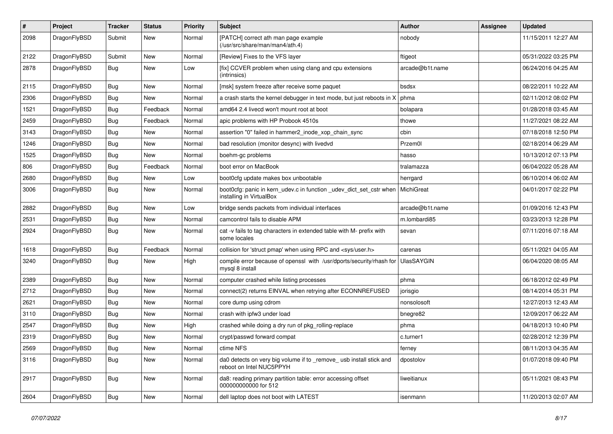| $\pmb{\#}$ | Project      | <b>Tracker</b> | <b>Status</b> | <b>Priority</b> | Subject                                                                                         | <b>Author</b>   | Assignee | <b>Updated</b>      |
|------------|--------------|----------------|---------------|-----------------|-------------------------------------------------------------------------------------------------|-----------------|----------|---------------------|
| 2098       | DragonFlyBSD | Submit         | New           | Normal          | [PATCH] correct ath man page example<br>(/usr/src/share/man/man4/ath.4)                         | nobody          |          | 11/15/2011 12:27 AM |
| 2122       | DragonFlyBSD | Submit         | New           | Normal          | [Review] Fixes to the VFS layer                                                                 | ftigeot         |          | 05/31/2022 03:25 PM |
| 2878       | DragonFlyBSD | Bug            | New           | Low             | [fix] CCVER problem when using clang and cpu extensions<br>(intrinsics)                         | arcade@b1t.name |          | 06/24/2016 04:25 AM |
| 2115       | DragonFlyBSD | <b>Bug</b>     | New           | Normal          | [msk] system freeze after receive some paquet                                                   | bsdsx           |          | 08/22/2011 10:22 AM |
| 2306       | DragonFlyBSD | Bug            | New           | Normal          | a crash starts the kernel debugger in text mode, but just reboots in X                          | phma            |          | 02/11/2012 08:02 PM |
| 1521       | DragonFlyBSD | Bug            | Feedback      | Normal          | amd64 2.4 livecd won't mount root at boot                                                       | bolapara        |          | 01/28/2018 03:45 AM |
| 2459       | DragonFlyBSD | Bug            | Feedback      | Normal          | apic problems with HP Probook 4510s                                                             | thowe           |          | 11/27/2021 08:22 AM |
| 3143       | DragonFlyBSD | Bug            | <b>New</b>    | Normal          | assertion "0" failed in hammer2_inode_xop_chain_sync                                            | cbin            |          | 07/18/2018 12:50 PM |
| 1246       | DragonFlyBSD | Bug            | New           | Normal          | bad resolution (monitor desync) with livedvd                                                    | Przem0l         |          | 02/18/2014 06:29 AM |
| 1525       | DragonFlyBSD | Bug            | <b>New</b>    | Normal          | boehm-gc problems                                                                               | hasso           |          | 10/13/2012 07:13 PM |
| 806        | DragonFlyBSD | Bug            | Feedback      | Normal          | boot error on MacBook                                                                           | tralamazza      |          | 06/04/2022 05:28 AM |
| 2680       | DragonFlyBSD | <b>Bug</b>     | <b>New</b>    | Low             | boot0cfg update makes box unbootable                                                            | herrgard        |          | 06/10/2014 06:02 AM |
| 3006       | DragonFlyBSD | Bug            | New           | Normal          | boot0cfg: panic in kern_udev.c in function _udev_dict_set_cstr when<br>installing in VirtualBox | MichiGreat      |          | 04/01/2017 02:22 PM |
| 2882       | DragonFlyBSD | Bug            | <b>New</b>    | Low             | bridge sends packets from individual interfaces                                                 | arcade@b1t.name |          | 01/09/2016 12:43 PM |
| 2531       | DragonFlyBSD | Bug            | <b>New</b>    | Normal          | camcontrol fails to disable APM                                                                 | m.lombardi85    |          | 03/23/2013 12:28 PM |
| 2924       | DragonFlyBSD | Bug            | New           | Normal          | cat -v fails to tag characters in extended table with M- prefix with<br>some locales            | sevan           |          | 07/11/2016 07:18 AM |
| 1618       | DragonFlyBSD | Bug            | Feedback      | Normal          | collision for 'struct pmap' when using RPC and <sys user.h=""></sys>                            | carenas         |          | 05/11/2021 04:05 AM |
| 3240       | DragonFlyBSD | Bug            | New           | High            | compile error because of openssl with /usr/dports/security/rhash for<br>mysql 8 install         | UlasSAYGIN      |          | 06/04/2020 08:05 AM |
| 2389       | DragonFlyBSD | <b>Bug</b>     | <b>New</b>    | Normal          | computer crashed while listing processes                                                        | phma            |          | 06/18/2012 02:49 PM |
| 2712       | DragonFlyBSD | Bug            | <b>New</b>    | Normal          | connect(2) returns EINVAL when retrying after ECONNREFUSED                                      | jorisgio        |          | 08/14/2014 05:31 PM |
| 2621       | DragonFlyBSD | Bug            | <b>New</b>    | Normal          | core dump using cdrom                                                                           | nonsolosoft     |          | 12/27/2013 12:43 AM |
| 3110       | DragonFlyBSD | Bug            | New           | Normal          | crash with ipfw3 under load                                                                     | bnegre82        |          | 12/09/2017 06:22 AM |
| 2547       | DragonFlyBSD | Bug            | New           | High            | crashed while doing a dry run of pkg_rolling-replace                                            | phma            |          | 04/18/2013 10:40 PM |
| 2319       | DragonFlyBSD | Bug            | New           | Normal          | crypt/passwd forward compat                                                                     | c.turner1       |          | 02/28/2012 12:39 PM |
| 2569       | DragonFlyBSD | Bug            | New           | Normal          | ctime NFS                                                                                       | terney          |          | 08/11/2013 04:35 AM |
| 3116       | DragonFlyBSD | Bug            | New           | Normal          | da0 detects on very big volume if to _remove_ usb install stick and<br>reboot on Intel NUC5PPYH | dpostolov       |          | 01/07/2018 09:40 PM |
| 2917       | DragonFlyBSD | <b>Bug</b>     | New           | Normal          | da8: reading primary partition table: error accessing offset<br>000000000000 for 512            | liweitianux     |          | 05/11/2021 08:43 PM |
| 2604       | DragonFlyBSD | <b>Bug</b>     | New           | Normal          | dell laptop does not boot with LATEST                                                           | isenmann        |          | 11/20/2013 02:07 AM |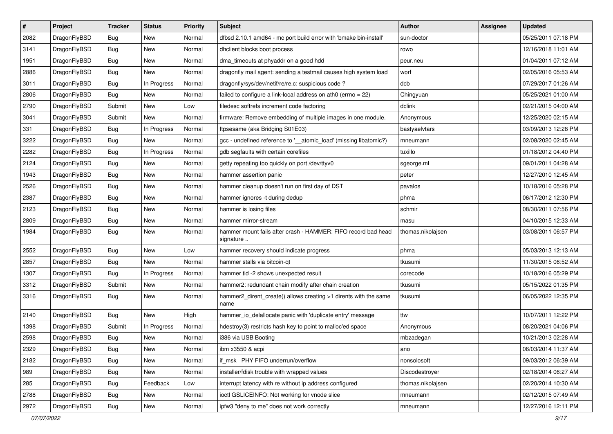| $\pmb{\#}$ | Project      | <b>Tracker</b> | <b>Status</b> | <b>Priority</b> | Subject                                                                    | <b>Author</b>     | <b>Assignee</b> | <b>Updated</b>      |
|------------|--------------|----------------|---------------|-----------------|----------------------------------------------------------------------------|-------------------|-----------------|---------------------|
| 2082       | DragonFlyBSD | Bug            | New           | Normal          | dfbsd 2.10.1 amd64 - mc port build error with 'bmake bin-install'          | sun-doctor        |                 | 05/25/2011 07:18 PM |
| 3141       | DragonFlyBSD | Bug            | <b>New</b>    | Normal          | dhclient blocks boot process                                               | rowo              |                 | 12/16/2018 11:01 AM |
| 1951       | DragonFlyBSD | Bug            | <b>New</b>    | Normal          | dma_timeouts at phyaddr on a good hdd                                      | peur.neu          |                 | 01/04/2011 07:12 AM |
| 2886       | DragonFlyBSD | Bug            | New           | Normal          | dragonfly mail agent: sending a testmail causes high system load           | worf              |                 | 02/05/2016 05:53 AM |
| 3011       | DragonFlyBSD | Bug            | In Progress   | Normal          | dragonfly/sys/dev/netif/re/re.c: suspicious code ?                         | dcb               |                 | 07/29/2017 01:26 AM |
| 2806       | DragonFlyBSD | <b>Bug</b>     | New           | Normal          | failed to configure a link-local address on ath0 (errno = 22)              | Chingyuan         |                 | 05/25/2021 01:00 AM |
| 2790       | DragonFlyBSD | Submit         | New           | Low             | filedesc softrefs increment code factoring                                 | dclink            |                 | 02/21/2015 04:00 AM |
| 3041       | DragonFlyBSD | Submit         | New           | Normal          | firmware: Remove embedding of multiple images in one module.               | Anonymous         |                 | 12/25/2020 02:15 AM |
| 331        | DragonFlyBSD | Bug            | In Progress   | Normal          | ftpsesame (aka Bridging S01E03)                                            | bastyaelvtars     |                 | 03/09/2013 12:28 PM |
| 3222       | DragonFlyBSD | Bug            | New           | Normal          | gcc - undefined reference to '__atomic_load' (missing libatomic?)          | mneumann          |                 | 02/08/2020 02:45 AM |
| 2282       | DragonFlyBSD | <b>Bug</b>     | In Progress   | Normal          | gdb segfaults with certain corefiles                                       | tuxillo           |                 | 01/18/2012 04:40 PM |
| 2124       | DragonFlyBSD | Bug            | New           | Normal          | getty repeating too quickly on port /dev/ttyv0                             | sgeorge.ml        |                 | 09/01/2011 04:28 AM |
| 1943       | DragonFlyBSD | <b>Bug</b>     | <b>New</b>    | Normal          | hammer assertion panic                                                     | peter             |                 | 12/27/2010 12:45 AM |
| 2526       | DragonFlyBSD | Bug            | <b>New</b>    | Normal          | hammer cleanup doesn't run on first day of DST                             | pavalos           |                 | 10/18/2016 05:28 PM |
| 2387       | DragonFlyBSD | Bug            | <b>New</b>    | Normal          | hammer ignores -t during dedup                                             | phma              |                 | 06/17/2012 12:30 PM |
| 2123       | DragonFlyBSD | Bug            | <b>New</b>    | Normal          | hammer is losing files                                                     | schmir            |                 | 08/30/2011 07:56 PM |
| 2809       | DragonFlyBSD | <b>Bug</b>     | <b>New</b>    | Normal          | hammer mirror-stream                                                       | masu              |                 | 04/10/2015 12:33 AM |
| 1984       | DragonFlyBSD | Bug            | <b>New</b>    | Normal          | hammer mount fails after crash - HAMMER: FIFO record bad head<br>signature | thomas.nikolajsen |                 | 03/08/2011 06:57 PM |
| 2552       | DragonFlyBSD | Bug            | <b>New</b>    | Low             | hammer recovery should indicate progress                                   | phma              |                 | 05/03/2013 12:13 AM |
| 2857       | DragonFlyBSD | Bug            | New           | Normal          | hammer stalls via bitcoin-qt                                               | tkusumi           |                 | 11/30/2015 06:52 AM |
| 1307       | DragonFlyBSD | <b>Bug</b>     | In Progress   | Normal          | hammer tid -2 shows unexpected result                                      | corecode          |                 | 10/18/2016 05:29 PM |
| 3312       | DragonFlyBSD | Submit         | <b>New</b>    | Normal          | hammer2: redundant chain modify after chain creation                       | tkusumi           |                 | 05/15/2022 01:35 PM |
| 3316       | DragonFlyBSD | <b>Bug</b>     | New           | Normal          | hammer2_dirent_create() allows creating >1 dirents with the same<br>name   | tkusumi           |                 | 06/05/2022 12:35 PM |
| 2140       | DragonFlyBSD | Bug            | <b>New</b>    | High            | hammer_io_delallocate panic with 'duplicate entry' message                 | ttw               |                 | 10/07/2011 12:22 PM |
| 1398       | DragonFlyBSD | Submit         | In Progress   | Normal          | hdestroy(3) restricts hash key to point to malloc'ed space                 | Anonymous         |                 | 08/20/2021 04:06 PM |
| 2598       | DragonFlyBSD | <b>Bug</b>     | New           | Normal          | i386 via USB Booting                                                       | mbzadegan         |                 | 10/21/2013 02:28 AM |
| 2329       | DragonFlyBSD | <b>Bug</b>     | New           | Normal          | ibm x3550 & acpi                                                           | ano               |                 | 06/03/2014 11:37 AM |
| 2182       | DragonFlyBSD | <b>Bug</b>     | New           | Normal          | if_msk PHY FIFO underrun/overflow                                          | nonsolosoft       |                 | 09/03/2012 06:39 AM |
| 989        | DragonFlyBSD | Bug            | New           | Normal          | installer/fdisk trouble with wrapped values                                | Discodestroyer    |                 | 02/18/2014 06:27 AM |
| 285        | DragonFlyBSD | <b>Bug</b>     | Feedback      | Low             | interrupt latency with re without ip address configured                    | thomas.nikolajsen |                 | 02/20/2014 10:30 AM |
| 2788       | DragonFlyBSD | <b>Bug</b>     | New           | Normal          | ioctl GSLICEINFO: Not working for vnode slice                              | mneumann          |                 | 02/12/2015 07:49 AM |
| 2972       | DragonFlyBSD | Bug            | New           | Normal          | ipfw3 "deny to me" does not work correctly                                 | mneumann          |                 | 12/27/2016 12:11 PM |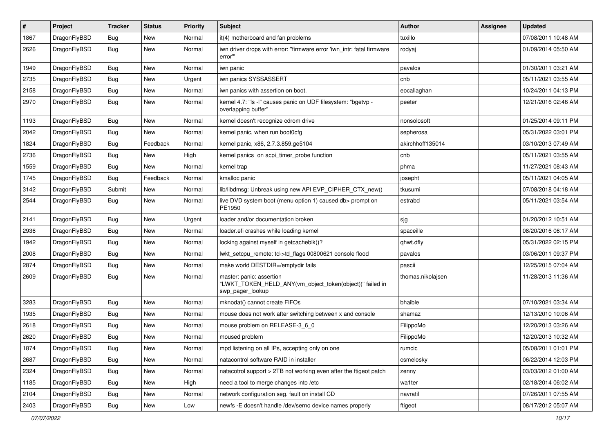| $\pmb{\#}$ | Project      | <b>Tracker</b> | <b>Status</b> | <b>Priority</b> | Subject                                                                                                  | <b>Author</b>     | Assignee | <b>Updated</b>      |
|------------|--------------|----------------|---------------|-----------------|----------------------------------------------------------------------------------------------------------|-------------------|----------|---------------------|
| 1867       | DragonFlyBSD | Bug            | New           | Normal          | it(4) motherboard and fan problems                                                                       | tuxillo           |          | 07/08/2011 10:48 AM |
| 2626       | DragonFlyBSD | Bug            | New           | Normal          | iwn driver drops with error: "firmware error 'iwn_intr: fatal firmware<br>error"                         | rodyaj            |          | 01/09/2014 05:50 AM |
| 1949       | DragonFlyBSD | <b>Bug</b>     | <b>New</b>    | Normal          | iwn panic                                                                                                | pavalos           |          | 01/30/2011 03:21 AM |
| 2735       | DragonFlyBSD | Bug            | <b>New</b>    | Urgent          | iwn panics SYSSASSERT                                                                                    | cnb               |          | 05/11/2021 03:55 AM |
| 2158       | DragonFlyBSD | Bug            | New           | Normal          | iwn panics with assertion on boot.                                                                       | eocallaghan       |          | 10/24/2011 04:13 PM |
| 2970       | DragonFlyBSD | Bug            | New           | Normal          | kernel 4.7: "Is -I" causes panic on UDF filesystem: "bgetvp -<br>overlapping buffer"                     | peeter            |          | 12/21/2016 02:46 AM |
| 1193       | DragonFlyBSD | Bug            | <b>New</b>    | Normal          | kernel doesn't recognize cdrom drive                                                                     | nonsolosoft       |          | 01/25/2014 09:11 PM |
| 2042       | DragonFlyBSD | Bug            | New           | Normal          | kernel panic, when run boot0cfg                                                                          | sepherosa         |          | 05/31/2022 03:01 PM |
| 1824       | DragonFlyBSD | <b>Bug</b>     | Feedback      | Normal          | kernel panic, x86, 2.7.3.859.ge5104                                                                      | akirchhoff135014  |          | 03/10/2013 07:49 AM |
| 2736       | DragonFlyBSD | Bug            | <b>New</b>    | High            | kernel panics on acpi timer probe function                                                               | cnb               |          | 05/11/2021 03:55 AM |
| 1559       | DragonFlyBSD | <b>Bug</b>     | <b>New</b>    | Normal          | kernel trap                                                                                              | phma              |          | 11/27/2021 08:43 AM |
| 1745       | DragonFlyBSD | <b>Bug</b>     | Feedback      | Normal          | kmalloc panic                                                                                            | josepht           |          | 05/11/2021 04:05 AM |
| 3142       | DragonFlyBSD | Submit         | <b>New</b>    | Normal          | lib/libdmsg: Unbreak using new API EVP_CIPHER_CTX_new()                                                  | tkusumi           |          | 07/08/2018 04:18 AM |
| 2544       | DragonFlyBSD | Bug            | New           | Normal          | live DVD system boot (menu option 1) caused db> prompt on<br>PE1950                                      | estrabd           |          | 05/11/2021 03:54 AM |
| 2141       | DragonFlyBSD | Bug            | <b>New</b>    | Urgent          | loader and/or documentation broken                                                                       | sjg               |          | 01/20/2012 10:51 AM |
| 2936       | DragonFlyBSD | <b>Bug</b>     | <b>New</b>    | Normal          | loader.efi crashes while loading kernel                                                                  | spaceille         |          | 08/20/2016 06:17 AM |
| 1942       | DragonFlyBSD | Bug            | <b>New</b>    | Normal          | locking against myself in getcacheblk()?                                                                 | qhwt.dfly         |          | 05/31/2022 02:15 PM |
| 2008       | DragonFlyBSD | <b>Bug</b>     | <b>New</b>    | Normal          | lwkt_setcpu_remote: td->td_flags 00800621 console flood                                                  | pavalos           |          | 03/06/2011 09:37 PM |
| 2874       | DragonFlyBSD | <b>Bug</b>     | <b>New</b>    | Normal          | make world DESTDIR=/emptydir fails                                                                       | pascii            |          | 12/25/2015 07:04 AM |
| 2609       | DragonFlyBSD | Bug            | New           | Normal          | master: panic: assertion<br>"LWKT_TOKEN_HELD_ANY(vm_object_token(object))" failed in<br>swp_pager_lookup | thomas.nikolajsen |          | 11/28/2013 11:36 AM |
| 3283       | DragonFlyBSD | Bug            | <b>New</b>    | Normal          | mknodat() cannot create FIFOs                                                                            | bhaible           |          | 07/10/2021 03:34 AM |
| 1935       | DragonFlyBSD | Bug            | New           | Normal          | mouse does not work after switching between x and console                                                | shamaz            |          | 12/13/2010 10:06 AM |
| 2618       | DragonFlyBSD | Bug            | <b>New</b>    | Normal          | mouse problem on RELEASE-3_6_0                                                                           | FilippoMo         |          | 12/20/2013 03:26 AM |
| 2620       | DragonFlyBSD | Bug            | New           | Normal          | moused problem                                                                                           | FilippoMo         |          | 12/20/2013 10:32 AM |
| 1874       | DragonFlyBSD | <b>Bug</b>     | New           | Normal          | mpd listening on all IPs, accepting only on one                                                          | rumcic            |          | 05/08/2011 01:01 PM |
| 2687       | DragonFlyBSD | Bug            | <b>New</b>    | Normal          | natacontrol software RAID in installer                                                                   | csmelosky         |          | 06/22/2014 12:03 PM |
| 2324       | DragonFlyBSD | <b>Bug</b>     | New           | Normal          | natacotrol support > 2TB not working even after the ftigeot patch                                        | zenny             |          | 03/03/2012 01:00 AM |
| 1185       | DragonFlyBSD | <b>Bug</b>     | New           | High            | need a tool to merge changes into /etc                                                                   | wa1ter            |          | 02/18/2014 06:02 AM |
| 2104       | DragonFlyBSD | <b>Bug</b>     | New           | Normal          | network configuration seg. fault on install CD                                                           | navratil          |          | 07/26/2011 07:55 AM |
| 2403       | DragonFlyBSD | <b>Bug</b>     | New           | Low             | newfs -E doesn't handle /dev/serno device names properly                                                 | ftigeot           |          | 08/17/2012 05:07 AM |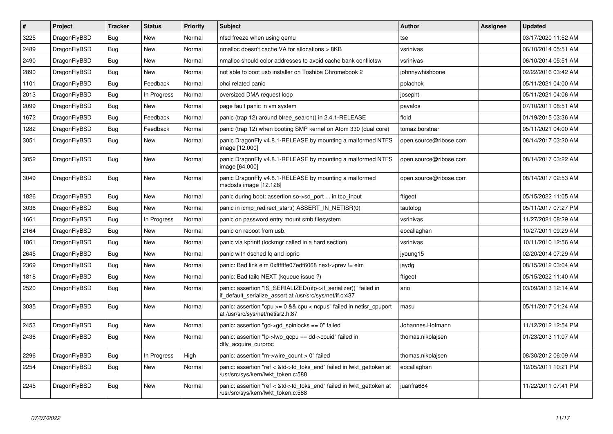| $\vert$ # | <b>Project</b> | <b>Tracker</b> | <b>Status</b> | <b>Priority</b> | <b>Subject</b>                                                                                                               | Author                 | Assignee | <b>Updated</b>      |
|-----------|----------------|----------------|---------------|-----------------|------------------------------------------------------------------------------------------------------------------------------|------------------------|----------|---------------------|
| 3225      | DragonFlyBSD   | Bug            | <b>New</b>    | Normal          | nfsd freeze when using gemu                                                                                                  | tse                    |          | 03/17/2020 11:52 AM |
| 2489      | DragonFlyBSD   | <b>Bug</b>     | New           | Normal          | nmalloc doesn't cache VA for allocations > 8KB                                                                               | vsrinivas              |          | 06/10/2014 05:51 AM |
| 2490      | DragonFlyBSD   | Bug            | <b>New</b>    | Normal          | nmalloc should color addresses to avoid cache bank conflictsw                                                                | vsrinivas              |          | 06/10/2014 05:51 AM |
| 2890      | DragonFlyBSD   | Bug            | New           | Normal          | not able to boot usb installer on Toshiba Chromebook 2                                                                       | johnnywhishbone        |          | 02/22/2016 03:42 AM |
| 1101      | DragonFlyBSD   | <b>Bug</b>     | Feedback      | Normal          | ohci related panic                                                                                                           | polachok               |          | 05/11/2021 04:00 AM |
| 2013      | DragonFlyBSD   | <b>Bug</b>     | In Progress   | Normal          | oversized DMA request loop                                                                                                   | josepht                |          | 05/11/2021 04:06 AM |
| 2099      | DragonFlyBSD   | Bug            | New           | Normal          | page fault panic in vm system                                                                                                | pavalos                |          | 07/10/2011 08:51 AM |
| 1672      | DragonFlyBSD   | <b>Bug</b>     | Feedback      | Normal          | panic (trap 12) around btree_search() in 2.4.1-RELEASE                                                                       | floid                  |          | 01/19/2015 03:36 AM |
| 1282      | DragonFlyBSD   | <b>Bug</b>     | Feedback      | Normal          | panic (trap 12) when booting SMP kernel on Atom 330 (dual core)                                                              | tomaz.borstnar         |          | 05/11/2021 04:00 AM |
| 3051      | DragonFlyBSD   | <b>Bug</b>     | <b>New</b>    | Normal          | panic DragonFly v4.8.1-RELEASE by mounting a malformed NTFS<br>image [12.000]                                                | open.source@ribose.com |          | 08/14/2017 03:20 AM |
| 3052      | DragonFlyBSD   | <b>Bug</b>     | <b>New</b>    | Normal          | panic DragonFly v4.8.1-RELEASE by mounting a malformed NTFS<br>image [64.000]                                                | open.source@ribose.com |          | 08/14/2017 03:22 AM |
| 3049      | DragonFlyBSD   | <b>Bug</b>     | New           | Normal          | panic DragonFly v4.8.1-RELEASE by mounting a malformed<br>msdosfs image [12.128]                                             | open.source@ribose.com |          | 08/14/2017 02:53 AM |
| 1826      | DragonFlyBSD   | Bug            | <b>New</b>    | Normal          | panic during boot: assertion so->so_port  in tcp_input                                                                       | ftigeot                |          | 05/15/2022 11:05 AM |
| 3036      | DragonFlyBSD   | Bug            | <b>New</b>    | Normal          | panic in icmp redirect start() ASSERT IN NETISR(0)                                                                           | tautolog               |          | 05/11/2017 07:27 PM |
| 1661      | DragonFlyBSD   | <b>Bug</b>     | In Progress   | Normal          | panic on password entry mount smb filesystem                                                                                 | vsrinivas              |          | 11/27/2021 08:29 AM |
| 2164      | DragonFlyBSD   | Bug            | <b>New</b>    | Normal          | panic on reboot from usb.                                                                                                    | eocallaghan            |          | 10/27/2011 09:29 AM |
| 1861      | DragonFlyBSD   | <b>Bug</b>     | <b>New</b>    | Normal          | panic via kprintf (lockmgr called in a hard section)                                                                         | vsrinivas              |          | 10/11/2010 12:56 AM |
| 2645      | DragonFlyBSD   | <b>Bug</b>     | <b>New</b>    | Normal          | panic with dsched fq and ioprio                                                                                              | jyoung15               |          | 02/20/2014 07:29 AM |
| 2369      | DragonFlyBSD   | Bug            | New           | Normal          | panic: Bad link elm 0xffffffe07edf6068 next->prev != elm                                                                     | jaydg                  |          | 08/15/2012 03:04 AM |
| 1818      | DragonFlyBSD   | <b>Bug</b>     | New           | Normal          | panic: Bad tailg NEXT (kqueue issue ?)                                                                                       | ftigeot                |          | 05/15/2022 11:40 AM |
| 2520      | DragonFlyBSD   | <b>Bug</b>     | New           | Normal          | panic: assertion "IS_SERIALIZED((ifp->if_serializer))" failed in<br>if default serialize assert at /usr/src/sys/net/if.c:437 | ano                    |          | 03/09/2013 12:14 AM |
| 3035      | DragonFlyBSD   | <b>Bug</b>     | <b>New</b>    | Normal          | panic: assertion "cpu >= 0 && cpu < ncpus" failed in netisr_cpuport<br>at /usr/src/sys/net/netisr2.h:87                      | masu                   |          | 05/11/2017 01:24 AM |
| 2453      | DragonFlyBSD   | <b>Bug</b>     | New           | Normal          | panic: assertion "gd->gd spinlocks == $0$ " failed                                                                           | Johannes.Hofmann       |          | 11/12/2012 12:54 PM |
| 2436      | DragonFlyBSD   | Bug            | <b>New</b>    | Normal          | panic: assertion "lp->lwp_qcpu == dd->cpuid" failed in<br>dfly_acquire_curproc                                               | thomas.nikolajsen      |          | 01/23/2013 11:07 AM |
| 2296      | DragonFlyBSD   | <b>Bug</b>     | In Progress   | High            | panic: assertion "m->wire count > 0" failed                                                                                  | thomas.nikolajsen      |          | 08/30/2012 06:09 AM |
| 2254      | DragonFlyBSD   | <b>Bug</b>     | <b>New</b>    | Normal          | panic: assertion "ref < &td->td_toks_end" failed in lwkt_gettoken at<br>/usr/src/sys/kern/lwkt_token.c:588                   | eocallaghan            |          | 12/05/2011 10:21 PM |
| 2245      | DragonFlyBSD   | Bug            | New           | Normal          | panic: assertion "ref < &td->td toks end" failed in lwkt gettoken at<br>/usr/src/sys/kern/lwkt_token.c:588                   | juanfra684             |          | 11/22/2011 07:41 PM |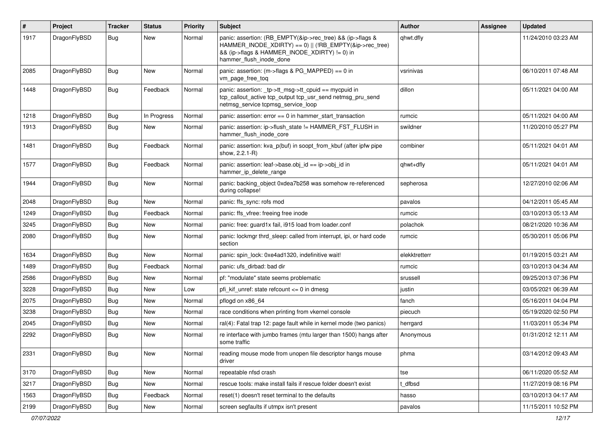| #    | Project      | <b>Tracker</b> | <b>Status</b> | <b>Priority</b> | Subject                                                                                                                                                                                           | <b>Author</b> | Assignee | <b>Updated</b>      |
|------|--------------|----------------|---------------|-----------------|---------------------------------------------------------------------------------------------------------------------------------------------------------------------------------------------------|---------------|----------|---------------------|
| 1917 | DragonFlyBSD | Bug            | <b>New</b>    | Normal          | panic: assertion: (RB_EMPTY(&ip->rec_tree) && (ip->flags &<br>HAMMER_INODE_XDIRTY) == 0)    (!RB_EMPTY(&ip->rec_tree)<br>&& (ip->flags & HAMMER_INODE_XDIRTY) != 0) in<br>hammer flush inode done | qhwt.dfly     |          | 11/24/2010 03:23 AM |
| 2085 | DragonFlyBSD | <b>Bug</b>     | New           | Normal          | panic: assertion: (m->flags & PG_MAPPED) == 0 in<br>vm_page_free_toq                                                                                                                              | vsrinivas     |          | 06/10/2011 07:48 AM |
| 1448 | DragonFlyBSD | Bug            | Feedback      | Normal          | panic: assertion: tp->tt_msg->tt_cpuid == mycpuid in<br>tcp_callout_active tcp_output tcp_usr_send netmsg_pru_send<br>netmsg service tcpmsg service loop                                          | dillon        |          | 05/11/2021 04:00 AM |
| 1218 | DragonFlyBSD | <b>Bug</b>     | In Progress   | Normal          | panic: assertion: error == 0 in hammer_start_transaction                                                                                                                                          | rumcic        |          | 05/11/2021 04:00 AM |
| 1913 | DragonFlyBSD | <b>Bug</b>     | New           | Normal          | panic: assertion: ip->flush_state != HAMMER_FST_FLUSH in<br>hammer flush inode core                                                                                                               | swildner      |          | 11/20/2010 05:27 PM |
| 1481 | DragonFlyBSD | Bug            | Feedback      | Normal          | panic: assertion: kva_p(buf) in soopt_from_kbuf (after ipfw pipe<br>show, 2.2.1-R)                                                                                                                | combiner      |          | 05/11/2021 04:01 AM |
| 1577 | DragonFlyBSD | Bug            | Feedback      | Normal          | panic: assertion: leaf->base.obj_id == ip->obj_id in<br>hammer_ip_delete_range                                                                                                                    | qhwt+dfly     |          | 05/11/2021 04:01 AM |
| 1944 | DragonFlyBSD | Bug            | <b>New</b>    | Normal          | panic: backing object 0xdea7b258 was somehow re-referenced<br>during collapse!                                                                                                                    | sepherosa     |          | 12/27/2010 02:06 AM |
| 2048 | DragonFlyBSD | <b>Bug</b>     | <b>New</b>    | Normal          | panic: ffs sync: rofs mod                                                                                                                                                                         | pavalos       |          | 04/12/2011 05:45 AM |
| 1249 | DragonFlyBSD | <b>Bug</b>     | Feedback      | Normal          | panic: ffs vfree: freeing free inode                                                                                                                                                              | rumcic        |          | 03/10/2013 05:13 AM |
| 3245 | DragonFlyBSD | <b>Bug</b>     | <b>New</b>    | Normal          | panic: free: guard1x fail, i915 load from loader.conf                                                                                                                                             | polachok      |          | 08/21/2020 10:36 AM |
| 2080 | DragonFlyBSD | Bug            | New           | Normal          | panic: lockmgr thrd_sleep: called from interrupt, ipi, or hard code<br>section                                                                                                                    | rumcic        |          | 05/30/2011 05:06 PM |
| 1634 | DragonFlyBSD | Bug            | <b>New</b>    | Normal          | panic: spin_lock: 0xe4ad1320, indefinitive wait!                                                                                                                                                  | elekktretterr |          | 01/19/2015 03:21 AM |
| 1489 | DragonFlyBSD | <b>Bug</b>     | Feedback      | Normal          | panic: ufs dirbad: bad dir                                                                                                                                                                        | rumcic        |          | 03/10/2013 04:34 AM |
| 2586 | DragonFlyBSD | <b>Bug</b>     | <b>New</b>    | Normal          | pf: "modulate" state seems problematic                                                                                                                                                            | srussell      |          | 09/25/2013 07:36 PM |
| 3228 | DragonFlyBSD | <b>Bug</b>     | <b>New</b>    | Low             | pfi kif unref: state refcount $\leq$ 0 in dmesg                                                                                                                                                   | justin        |          | 03/05/2021 06:39 AM |
| 2075 | DragonFlyBSD | <b>Bug</b>     | <b>New</b>    | Normal          | pflogd on x86 64                                                                                                                                                                                  | fanch         |          | 05/16/2011 04:04 PM |
| 3238 | DragonFlyBSD | <b>Bug</b>     | <b>New</b>    | Normal          | race conditions when printing from vkernel console                                                                                                                                                | piecuch       |          | 05/19/2020 02:50 PM |
| 2045 | DragonFlyBSD | Bug            | New           | Normal          | ral(4): Fatal trap 12: page fault while in kernel mode (two panics)                                                                                                                               | herrgard      |          | 11/03/2011 05:34 PM |
| 2292 | DragonFlyBSD | <b>Bug</b>     | New           | Normal          | re interface with jumbo frames (mtu larger than 1500) hangs after<br>some traffic                                                                                                                 | Anonymous     |          | 01/31/2012 12:11 AM |
| 2331 | DragonFlyBSD | <b>Bug</b>     | New           | Normal          | reading mouse mode from unopen file descriptor hangs mouse<br>driver                                                                                                                              | phma          |          | 03/14/2012 09:43 AM |
| 3170 | DragonFlyBSD | <b>Bug</b>     | New           | Normal          | repeatable nfsd crash                                                                                                                                                                             | tse           |          | 06/11/2020 05:52 AM |
| 3217 | DragonFlyBSD | <b>Bug</b>     | New           | Normal          | rescue tools: make install fails if rescue folder doesn't exist                                                                                                                                   | t_dfbsd       |          | 11/27/2019 08:16 PM |
| 1563 | DragonFlyBSD | <b>Bug</b>     | Feedback      | Normal          | reset(1) doesn't reset terminal to the defaults                                                                                                                                                   | hasso         |          | 03/10/2013 04:17 AM |
| 2199 | DragonFlyBSD | <b>Bug</b>     | New           | Normal          | screen segfaults if utmpx isn't present                                                                                                                                                           | pavalos       |          | 11/15/2011 10:52 PM |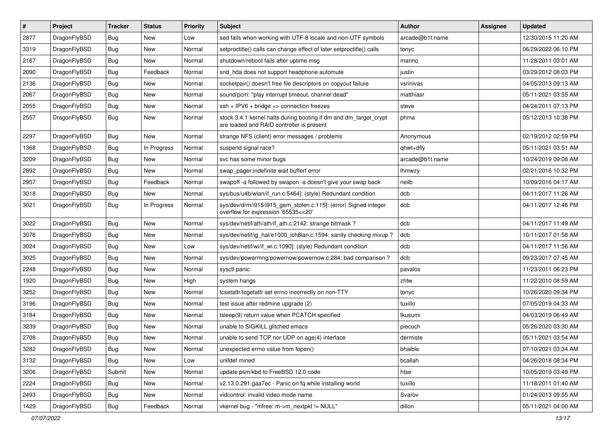| $\pmb{\#}$ | Project      | <b>Tracker</b> | <b>Status</b> | <b>Priority</b> | <b>Subject</b>                                                                                                 | <b>Author</b>   | <b>Assignee</b> | <b>Updated</b>      |
|------------|--------------|----------------|---------------|-----------------|----------------------------------------------------------------------------------------------------------------|-----------------|-----------------|---------------------|
| 2877       | DragonFlyBSD | Bug            | <b>New</b>    | Low             | sed fails when working with UTF-8 locale and non-UTF symbols                                                   | arcade@b1t.name |                 | 12/30/2015 11:20 AM |
| 3319       | DragonFlyBSD | Bug            | <b>New</b>    | Normal          | setproctitle() calls can change effect of later setproctitle() calls                                           | tonyc           |                 | 06/29/2022 06:10 PM |
| 2167       | DragonFlyBSD | Bug            | <b>New</b>    | Normal          | shutdown/reboot fails after uptime msg                                                                         | marino          |                 | 11/28/2011 03:01 AM |
| 2090       | DragonFlyBSD | Bug            | Feedback      | Normal          | snd_hda does not support headphone automute                                                                    | justin          |                 | 03/29/2012 08:03 PM |
| 2136       | DragonFlyBSD | Bug            | <b>New</b>    | Normal          | socketpair() doesn't free file descriptors on copyout failure                                                  | vsrinivas       |                 | 04/05/2013 09:13 AM |
| 2067       | DragonFlyBSD | Bug            | New           | Normal          | sound/pcm: "play interrupt timeout, channel dead"                                                              | matthiasr       |                 | 05/11/2021 03:55 AM |
| 2055       | DragonFlyBSD | Bug            | <b>New</b>    | Normal          | $ssh + IPV6 + bridge \Rightarrow$ connection freezes                                                           | steve           |                 | 04/24/2011 07:13 PM |
| 2557       | DragonFlyBSD | Bug            | New           | Normal          | stock 3.4.1 kernel halts during booting if dm and dm_target_crypt<br>are loaded and RAID controller is present | phma            |                 | 05/12/2013 10:38 PM |
| 2297       | DragonFlyBSD | Bug            | <b>New</b>    | Normal          | strange NFS (client) error messages / problems                                                                 | Anonymous       |                 | 02/19/2012 02:59 PM |
| 1368       | DragonFlyBSD | Bug            | In Progress   | Normal          | suspend signal race?                                                                                           | qhwt+dfly       |                 | 05/11/2021 03:51 AM |
| 3209       | DragonFlyBSD | <b>Bug</b>     | <b>New</b>    | Normal          | svc has some minor bugs                                                                                        | arcade@b1t.name |                 | 10/24/2019 09:08 AM |
| 2892       | DragonFlyBSD | Bug            | <b>New</b>    | Normal          | swap_pager:indefinite wait bufferf error                                                                       | <b>Ihmwzy</b>   |                 | 02/21/2016 10:32 PM |
| 2957       | DragonFlyBSD | Bug            | Feedback      | Normal          | swapoff -a followed by swapon -a doesn't give your swap back                                                   | neilb           |                 | 10/09/2016 04:17 AM |
| 3018       | DragonFlyBSD | Bug            | <b>New</b>    | Normal          | sys/bus/u4b/wlan/if_run.c:5464]: (style) Redundant condition                                                   | dcb             |                 | 04/11/2017 11:26 AM |
| 3021       | DragonFlyBSD | Bug            | In Progress   | Normal          | sys/dev/drm/i915/i915_gem_stolen.c:115]: (error) Signed integer<br>overflow for expression '65535<<20'         | dcb             |                 | 04/11/2017 12:46 PM |
| 3022       | DragonFlyBSD | Bug            | <b>New</b>    | Normal          | sys/dev/netif/ath/ath/if_ath.c:2142: strange bitmask?                                                          | dcb             |                 | 04/11/2017 11:49 AM |
| 3076       | DragonFlyBSD | Bug            | <b>New</b>    | Normal          | sys/dev/netif/ig hal/e1000 ich8lan.c:1594: sanity checking mixup?                                              | dcb             |                 | 10/11/2017 01:58 AM |
| 3024       | DragonFlyBSD | Bug            | New           | Low             | sys/dev/netif/wi/if_wi.c:1090]: (style) Redundant condition                                                    | dcb             |                 | 04/11/2017 11:56 AM |
| 3025       | DragonFlyBSD | Bug            | <b>New</b>    | Normal          | sys/dev/powermng/powernow/powernow.c:284: bad comparison ?                                                     | dcb             |                 | 09/23/2017 07:45 AM |
| 2248       | DragonFlyBSD | Bug            | New           | Normal          | sysctl panic                                                                                                   | pavalos         |                 | 11/23/2011 06:23 PM |
| 1920       | DragonFlyBSD | Bug            | <b>New</b>    | High            | system hangs                                                                                                   | zhtw            |                 | 11/22/2010 08:59 AM |
| 3252       | DragonFlyBSD | Bug            | New           | Normal          | tcsetattr/tcgetattr set errno incorrectly on non-TTY                                                           | tonyc           |                 | 10/26/2020 09:34 PM |
| 3196       | DragonFlyBSD | <b>Bug</b>     | New           | Normal          | test issue after redmine upgrade (2)                                                                           | tuxillo         |                 | 07/05/2019 04:33 AM |
| 3184       | DragonFlyBSD | Bug            | <b>New</b>    | Normal          | tsleep(9) return value when PCATCH specified                                                                   | tkusumi         |                 | 04/03/2019 06:49 AM |
| 3239       | DragonFlyBSD | Bug            | New           | Normal          | unable to SIGKILL glitched emacs                                                                               | piecuch         |                 | 05/26/2020 03:30 AM |
| 2708       | DragonFlyBSD | Bug            | <b>New</b>    | Normal          | unable to send TCP nor UDP on age(4) interface                                                                 | dermiste        |                 | 05/11/2021 03:54 AM |
| 3282       | DragonFlyBSD | Bug            | New           | Normal          | unexpected errno value from fopen()                                                                            | bhaible         |                 | 07/10/2021 03:34 AM |
| 3132       | DragonFlyBSD | <b>Bug</b>     | New           | Low             | unifdef mined                                                                                                  | bcallah         |                 | 04/26/2018 08:34 PM |
| 3206       | DragonFlyBSD | Submit         | New           | Normal          | update psm/kbd to FreeBSD 12.0 code                                                                            | htse            |                 | 10/05/2019 03:49 PM |
| 2224       | DragonFlyBSD | <b>Bug</b>     | New           | Normal          | v2.13.0.291.gaa7ec - Panic on fq while installing world                                                        | tuxillo         |                 | 11/18/2011 01:40 AM |
| 2493       | DragonFlyBSD | <b>Bug</b>     | New           | Normal          | vidcontrol: invalid video mode name                                                                            | Svarov          |                 | 01/24/2013 09:55 AM |
| 1429       | DragonFlyBSD | Bug            | Feedback      | Normal          | vkernel bug - "mfree: m->m nextpkt != NULL"                                                                    | dillon          |                 | 05/11/2021 04:00 AM |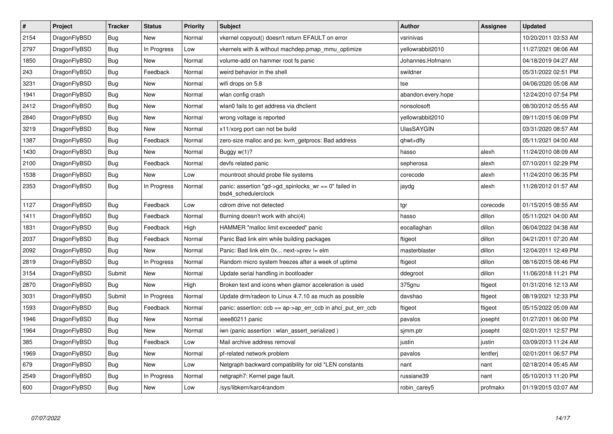| $\sharp$ | Project      | <b>Tracker</b> | <b>Status</b> | <b>Priority</b> | <b>Subject</b>                                                                  | <b>Author</b>      | <b>Assignee</b> | <b>Updated</b>      |
|----------|--------------|----------------|---------------|-----------------|---------------------------------------------------------------------------------|--------------------|-----------------|---------------------|
| 2154     | DragonFlyBSD | Bug            | <b>New</b>    | Normal          | vkernel copyout() doesn't return EFAULT on error                                | vsrinivas          |                 | 10/20/2011 03:53 AM |
| 2797     | DragonFlyBSD | <b>Bug</b>     | In Progress   | Low             | vkernels with & without machdep.pmap_mmu_optimize                               | yellowrabbit2010   |                 | 11/27/2021 08:06 AM |
| 1850     | DragonFlyBSD | <b>Bug</b>     | New           | Normal          | volume-add on hammer root fs panic                                              | Johannes.Hofmann   |                 | 04/18/2019 04:27 AM |
| 243      | DragonFlyBSD | <b>Bug</b>     | Feedback      | Normal          | weird behavior in the shell                                                     | swildner           |                 | 05/31/2022 02:51 PM |
| 3231     | DragonFlyBSD | Bug            | <b>New</b>    | Normal          | wifi drops on 5.8                                                               | tse                |                 | 04/06/2020 05:08 AM |
| 1941     | DragonFlyBSD | <b>Bug</b>     | New           | Normal          | wlan config crash                                                               | abandon.every.hope |                 | 12/24/2010 07:54 PM |
| 2412     | DragonFlyBSD | Bug            | <b>New</b>    | Normal          | wlan0 fails to get address via dhclient                                         | nonsolosoft        |                 | 08/30/2012 05:55 AM |
| 2840     | DragonFlyBSD | <b>Bug</b>     | <b>New</b>    | Normal          | wrong voltage is reported                                                       | yellowrabbit2010   |                 | 09/11/2015 06:09 PM |
| 3219     | DragonFlyBSD | Bug            | <b>New</b>    | Normal          | x11/xorg port can not be build                                                  | <b>UlasSAYGIN</b>  |                 | 03/31/2020 08:57 AM |
| 1387     | DragonFlyBSD | <b>Bug</b>     | Feedback      | Normal          | zero-size malloc and ps: kvm_getprocs: Bad address                              | qhwt+dfly          |                 | 05/11/2021 04:00 AM |
| 1430     | DragonFlyBSD | <b>Bug</b>     | <b>New</b>    | Normal          | Buggy $w(1)$ ?                                                                  | hasso              | alexh           | 11/24/2010 08:09 AM |
| 2100     | DragonFlyBSD | Bug            | Feedback      | Normal          | devfs related panic                                                             | sepherosa          | alexh           | 07/10/2011 02:29 PM |
| 1538     | DragonFlyBSD | Bug            | New           | Low             | mountroot should probe file systems                                             | corecode           | alexh           | 11/24/2010 06:35 PM |
| 2353     | DragonFlyBSD | <b>Bug</b>     | In Progress   | Normal          | panic: assertion "gd->gd spinlocks $wr == 0$ " failed in<br>bsd4 schedulerclock | jaydg              | alexh           | 11/28/2012 01:57 AM |
| 1127     | DragonFlyBSD | Bug            | Feedback      | Low             | cdrom drive not detected                                                        | tgr                | corecode        | 01/15/2015 08:55 AM |
| 1411     | DragonFlyBSD | Bug            | Feedback      | Normal          | Burning doesn't work with ahci(4)                                               | hasso              | dillon          | 05/11/2021 04:00 AM |
| 1831     | DragonFlyBSD | Bug            | Feedback      | High            | HAMMER "malloc limit exceeded" panic                                            | eocallaghan        | dillon          | 06/04/2022 04:38 AM |
| 2037     | DragonFlyBSD | Bug            | Feedback      | Normal          | Panic Bad link elm while building packages                                      | ftigeot            | dillon          | 04/21/2011 07:20 AM |
| 2092     | DragonFlyBSD | Bug            | <b>New</b>    | Normal          | Panic: Bad link elm 0x next->prev != elm                                        | masterblaster      | dillon          | 12/04/2011 12:49 PM |
| 2819     | DragonFlyBSD | <b>Bug</b>     | In Progress   | Normal          | Random micro system freezes after a week of uptime                              | ftigeot            | dillon          | 08/16/2015 08:46 PM |
| 3154     | DragonFlyBSD | Submit         | New           | Normal          | Update serial handling in bootloader                                            | ddegroot           | dillon          | 11/06/2018 11:21 PM |
| 2870     | DragonFlyBSD | Bug            | New           | High            | Broken text and icons when glamor acceleration is used                          | 375gnu             | ftigeot         | 01/31/2016 12:13 AM |
| 3031     | DragonFlyBSD | Submit         | In Progress   | Normal          | Update drm/radeon to Linux 4.7.10 as much as possible                           | davshao            | ftigeot         | 08/19/2021 12:33 PM |
| 1593     | DragonFlyBSD | <b>Bug</b>     | Feedback      | Normal          | panic: assertion: $ccb == ap \rightarrow ap\_err\_ccb$ in ahci_put_err_ccb      | ftigeot            | ftigeot         | 05/15/2022 05:09 AM |
| 1946     | DragonFlyBSD | Bug            | <b>New</b>    | Normal          | ieee80211 panic                                                                 | pavalos            | josepht         | 01/27/2011 06:00 PM |
| 1964     | DragonFlyBSD | Bug            | New           | Normal          | iwn (panic assertion : wlan assert serialized)                                  | simm.ptr           | josepht         | 02/01/2011 12:57 PM |
| 385      | DragonFlyBSD | <b>Bug</b>     | Feedback      | Low             | Mail archive address removal                                                    | justin             | justin          | 03/09/2013 11:24 AM |
| 1969     | DragonFlyBSD | Bug            | <b>New</b>    | Normal          | pf-related network problem                                                      | pavalos            | lentferj        | 02/01/2011 06:57 PM |
| 679      | DragonFlyBSD | Bug            | New           | Low             | Netgraph backward compatibility for old *LEN constants                          | nant               | nant            | 02/18/2014 05:45 AM |
| 2549     | DragonFlyBSD | Bug            | In Progress   | Normal          | netgraph7: Kernel page fault.                                                   | russiane39         | nant            | 05/10/2013 11:20 PM |
| 600      | DragonFlyBSD | <b>Bug</b>     | <b>New</b>    | Low             | /sys/libkern/karc4random                                                        | robin_carey5       | profmakx        | 01/19/2015 03:07 AM |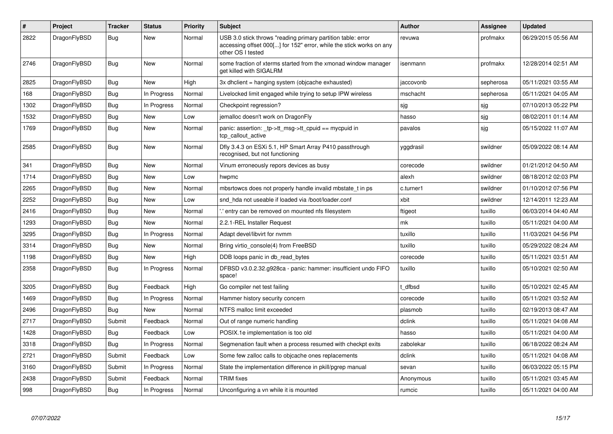| $\#$ | <b>Project</b> | <b>Tracker</b> | <b>Status</b> | <b>Priority</b> | <b>Subject</b>                                                                                                                                           | <b>Author</b> | Assignee  | <b>Updated</b>      |
|------|----------------|----------------|---------------|-----------------|----------------------------------------------------------------------------------------------------------------------------------------------------------|---------------|-----------|---------------------|
| 2822 | DragonFlyBSD   | Bug            | <b>New</b>    | Normal          | USB 3.0 stick throws "reading primary partition table: error<br>accessing offset 000[] for 152" error, while the stick works on any<br>other OS I tested | revuwa        | profmakx  | 06/29/2015 05:56 AM |
| 2746 | DragonFlyBSD   | <b>Bug</b>     | New           | Normal          | some fraction of xterms started from the xmonad window manager<br>get killed with SIGALRM                                                                | isenmann      | profmakx  | 12/28/2014 02:51 AM |
| 2825 | DragonFlyBSD   | <b>Bug</b>     | New           | High            | 3x dhclient = hanging system (objcache exhausted)                                                                                                        | jaccovonb     | sepherosa | 05/11/2021 03:55 AM |
| 168  | DragonFlyBSD   | Bug            | In Progress   | Normal          | Livelocked limit engaged while trying to setup IPW wireless                                                                                              | mschacht      | sepherosa | 05/11/2021 04:05 AM |
| 1302 | DragonFlyBSD   | <b>Bug</b>     | In Progress   | Normal          | Checkpoint regression?                                                                                                                                   | sjg           | sjg       | 07/10/2013 05:22 PM |
| 1532 | DragonFlyBSD   | Bug            | New           | Low             | jemalloc doesn't work on DragonFly                                                                                                                       | hasso         | sjg       | 08/02/2011 01:14 AM |
| 1769 | DragonFlyBSD   | <b>Bug</b>     | <b>New</b>    | Normal          | panic: assertion: _tp->tt_msg->tt_cpuid == mycpuid in<br>tcp callout active                                                                              | pavalos       | sjg       | 05/15/2022 11:07 AM |
| 2585 | DragonFlyBSD   | Bug            | <b>New</b>    | Normal          | Dfly 3.4.3 on ESXi 5.1, HP Smart Array P410 passthrough<br>recognised, but not functioning                                                               | yggdrasil     | swildner  | 05/09/2022 08:14 AM |
| 341  | DragonFlyBSD   | Bug            | New           | Normal          | Vinum erroneously repors devices as busy                                                                                                                 | corecode      | swildner  | 01/21/2012 04:50 AM |
| 1714 | DragonFlyBSD   | Bug            | New           | Low             | hwpmc                                                                                                                                                    | alexh         | swildner  | 08/18/2012 02:03 PM |
| 2265 | DragonFlyBSD   | Bug            | New           | Normal          | mbsrtowcs does not properly handle invalid mbstate t in ps                                                                                               | c.turner1     | swildner  | 01/10/2012 07:56 PM |
| 2252 | DragonFlyBSD   | <b>Bug</b>     | <b>New</b>    | Low             | snd hda not useable if loaded via /boot/loader.conf                                                                                                      | xbit          | swildner  | 12/14/2011 12:23 AM |
| 2416 | DragonFlyBSD   | Bug            | <b>New</b>    | Normal          | entry can be removed on mounted nfs filesystem                                                                                                           | ftigeot       | tuxillo   | 06/03/2014 04:40 AM |
| 1293 | DragonFlyBSD   | <b>Bug</b>     | <b>New</b>    | Normal          | 2.2.1-REL Installer Request                                                                                                                              | mk            | tuxillo   | 05/11/2021 04:00 AM |
| 3295 | DragonFlyBSD   | <b>Bug</b>     | In Progress   | Normal          | Adapt devel/libvirt for nymm                                                                                                                             | tuxillo       | tuxillo   | 11/03/2021 04:56 PM |
| 3314 | DragonFlyBSD   | Bug            | <b>New</b>    | Normal          | Bring virtio_console(4) from FreeBSD                                                                                                                     | tuxillo       | tuxillo   | 05/29/2022 08:24 AM |
| 1198 | DragonFlyBSD   | Bug            | <b>New</b>    | High            | DDB loops panic in db_read_bytes                                                                                                                         | corecode      | tuxillo   | 05/11/2021 03:51 AM |
| 2358 | DragonFlyBSD   | Bug            | In Progress   | Normal          | DFBSD v3.0.2.32.g928ca - panic: hammer: insufficient undo FIFO<br>space!                                                                                 | tuxillo       | tuxillo   | 05/10/2021 02:50 AM |
| 3205 | DragonFlyBSD   | Bug            | Feedback      | High            | Go compiler net test failing                                                                                                                             | : dfbsd       | tuxillo   | 05/10/2021 02:45 AM |
| 1469 | DragonFlyBSD   | Bug            | In Progress   | Normal          | Hammer history security concern                                                                                                                          | corecode      | tuxillo   | 05/11/2021 03:52 AM |
| 2496 | DragonFlyBSD   | <b>Bug</b>     | New           | Normal          | NTFS malloc limit exceeded                                                                                                                               | plasmob       | tuxillo   | 02/19/2013 08:47 AM |
| 2717 | DragonFlyBSD   | Submit         | Feedback      | Normal          | Out of range numeric handling                                                                                                                            | dclink        | tuxillo   | 05/11/2021 04:08 AM |
| 1428 | DragonFlyBSD   | <b>Bug</b>     | Feedback      | Low             | POSIX.1e implementation is too old                                                                                                                       | hasso         | tuxillo   | 05/11/2021 04:00 AM |
| 3318 | DragonFlyBSD   | Bug            | In Progress   | Normal          | Segmenation fault when a process resumed with checkpt exits                                                                                              | zabolekar     | tuxillo   | 06/18/2022 08:24 AM |
| 2721 | DragonFlyBSD   | Submit         | Feedback      | Low             | Some few zalloc calls to objcache ones replacements                                                                                                      | dclink        | tuxillo   | 05/11/2021 04:08 AM |
| 3160 | DragonFlyBSD   | Submit         | In Progress   | Normal          | State the implementation difference in pkill/pgrep manual                                                                                                | sevan         | tuxillo   | 06/03/2022 05:15 PM |
| 2438 | DragonFlyBSD   | Submit         | Feedback      | Normal          | <b>TRIM</b> fixes                                                                                                                                        | Anonymous     | tuxillo   | 05/11/2021 03:45 AM |
| 998  | DragonFlyBSD   | Bug            | In Progress   | Normal          | Unconfiguring a vn while it is mounted                                                                                                                   | rumcic        | tuxillo   | 05/11/2021 04:00 AM |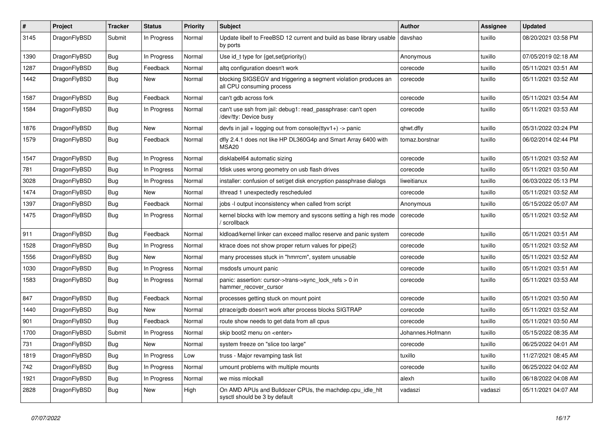| #    | Project      | <b>Tracker</b> | <b>Status</b> | <b>Priority</b> | <b>Subject</b>                                                                               | <b>Author</b>    | Assignee | <b>Updated</b>      |
|------|--------------|----------------|---------------|-----------------|----------------------------------------------------------------------------------------------|------------------|----------|---------------------|
| 3145 | DragonFlyBSD | Submit         | In Progress   | Normal          | Update libelf to FreeBSD 12 current and build as base library usable<br>by ports             | davshao          | tuxillo  | 08/20/2021 03:58 PM |
| 1390 | DragonFlyBSD | Bug            | In Progress   | Normal          | Use id_t type for {get,set}priority()                                                        | Anonymous        | tuxillo  | 07/05/2019 02:18 AM |
| 1287 | DragonFlyBSD | <b>Bug</b>     | Feedback      | Normal          | altg configuration doesn't work                                                              | corecode         | tuxillo  | 05/11/2021 03:51 AM |
| 1442 | DragonFlyBSD | Bug            | New           | Normal          | blocking SIGSEGV and triggering a segment violation produces an<br>all CPU consuming process | corecode         | tuxillo  | 05/11/2021 03:52 AM |
| 1587 | DragonFlyBSD | Bug            | Feedback      | Normal          | can't gdb across fork                                                                        | corecode         | tuxillo  | 05/11/2021 03:54 AM |
| 1584 | DragonFlyBSD | Bug            | In Progress   | Normal          | can't use ssh from jail: debug1: read_passphrase: can't open<br>/dev/tty: Device busy        | corecode         | tuxillo  | 05/11/2021 03:53 AM |
| 1876 | DragonFlyBSD | Bug            | New           | Normal          | devfs in jail + logging out from console(ttyv1+) -> panic                                    | qhwt.dfly        | tuxillo  | 05/31/2022 03:24 PM |
| 1579 | DragonFlyBSD | <b>Bug</b>     | Feedback      | Normal          | dfly 2.4.1 does not like HP DL360G4p and Smart Array 6400 with<br>MSA <sub>20</sub>          | tomaz.borstnar   | tuxillo  | 06/02/2014 02:44 PM |
| 1547 | DragonFlyBSD | Bug            | In Progress   | Normal          | disklabel64 automatic sizing                                                                 | corecode         | tuxillo  | 05/11/2021 03:52 AM |
| 781  | DragonFlyBSD | <b>Bug</b>     | In Progress   | Normal          | fdisk uses wrong geometry on usb flash drives                                                | corecode         | tuxillo  | 05/11/2021 03:50 AM |
| 3028 | DragonFlyBSD | <b>Bug</b>     | In Progress   | Normal          | installer: confusion of set/get disk encryption passphrase dialogs                           | liweitianux      | tuxillo  | 06/03/2022 05:13 PM |
| 1474 | DragonFlyBSD | <b>Bug</b>     | New           | Normal          | ithread 1 unexpectedly rescheduled                                                           | corecode         | tuxillo  | 05/11/2021 03:52 AM |
| 1397 | DragonFlyBSD | <b>Bug</b>     | Feedback      | Normal          | jobs -I output inconsistency when called from script                                         | Anonymous        | tuxillo  | 05/15/2022 05:07 AM |
| 1475 | DragonFlyBSD | <b>Bug</b>     | In Progress   | Normal          | kernel blocks with low memory and syscons setting a high res mode<br>/ scrollback            | corecode         | tuxillo  | 05/11/2021 03:52 AM |
| 911  | DragonFlyBSD | <b>Bug</b>     | Feedback      | Normal          | kidload/kernel linker can exceed malloc reserve and panic system                             | corecode         | tuxillo  | 05/11/2021 03:51 AM |
| 1528 | DragonFlyBSD | <b>Bug</b>     | In Progress   | Normal          | ktrace does not show proper return values for pipe(2)                                        | corecode         | tuxillo  | 05/11/2021 03:52 AM |
| 1556 | DragonFlyBSD | <b>Bug</b>     | New           | Normal          | many processes stuck in "hmrrcm", system unusable                                            | corecode         | tuxillo  | 05/11/2021 03:52 AM |
| 1030 | DragonFlyBSD | <b>Bug</b>     | In Progress   | Normal          | msdosfs umount panic                                                                         | corecode         | tuxillo  | 05/11/2021 03:51 AM |
| 1583 | DragonFlyBSD | <b>Bug</b>     | In Progress   | Normal          | panic: assertion: cursor->trans->sync_lock_refs > 0 in<br>hammer_recover_cursor              | corecode         | tuxillo  | 05/11/2021 03:53 AM |
| 847  | DragonFlyBSD | Bug            | Feedback      | Normal          | processes getting stuck on mount point                                                       | corecode         | tuxillo  | 05/11/2021 03:50 AM |
| 1440 | DragonFlyBSD | <b>Bug</b>     | New           | Normal          | ptrace/gdb doesn't work after process blocks SIGTRAP                                         | corecode         | tuxillo  | 05/11/2021 03:52 AM |
| 901  | DragonFlyBSD | <b>Bug</b>     | Feedback      | Normal          | route show needs to get data from all cpus                                                   | corecode         | tuxillo  | 05/11/2021 03:50 AM |
| 1700 | DragonFlyBSD | Submit         | In Progress   | Normal          | skip boot2 menu on <enter></enter>                                                           | Johannes.Hofmann | tuxillo  | 05/15/2022 08:35 AM |
| 731  | DragonFlyBSD | Bug            | New           | Normal          | system freeze on "slice too large"                                                           | corecode         | tuxillo  | 06/25/2022 04:01 AM |
| 1819 | DragonFlyBSD | <b>Bug</b>     | In Progress   | Low             | truss - Major revamping task list                                                            | tuxillo          | tuxillo  | 11/27/2021 08:45 AM |
| 742  | DragonFlyBSD | <b>Bug</b>     | In Progress   | Normal          | umount problems with multiple mounts                                                         | corecode         | tuxillo  | 06/25/2022 04:02 AM |
| 1921 | DragonFlyBSD | <b>Bug</b>     | In Progress   | Normal          | we miss mlockall                                                                             | alexh            | tuxillo  | 06/18/2022 04:08 AM |
| 2828 | DragonFlyBSD | <b>Bug</b>     | New           | High            | On AMD APUs and Bulldozer CPUs, the machdep.cpu_idle_hlt<br>sysctl should be 3 by default    | vadaszi          | vadaszi  | 05/11/2021 04:07 AM |